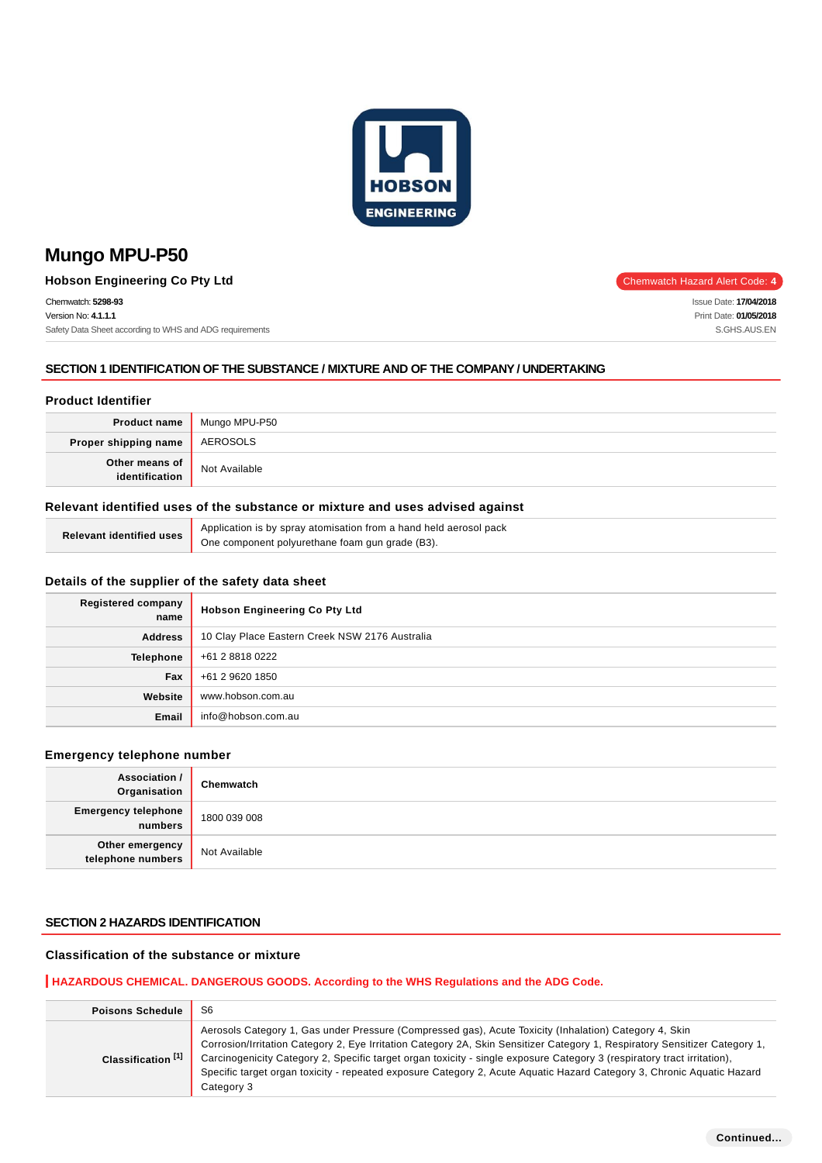

**Hobson Engineering Co Pty Ltd** Chemwatch Hazard Alert Code: 4

Chemwatch: **5298-93** Version No: **4.1.1.1** Safety Data Sheet according to WHS and ADG requirements

### **SECTION 1 IDENTIFICATION OF THE SUBSTANCE / MIXTURE AND OF THE COMPANY / UNDERTAKING**

### **Product Identifier**

| <b>Product name</b>              | Mungo MPU-P50 |
|----------------------------------|---------------|
| Proper shipping name             | AEROSOLS      |
| Other means of<br>identification | Not Available |

### **Relevant identified uses of the substance or mixture and uses advised against**

| Relevant identified uses | Application is by spray atomisation from a hand held aerosol pack |
|--------------------------|-------------------------------------------------------------------|
|                          | One component polyurethane foam gun grade (B3).                   |

#### **Details of the supplier of the safety data sheet**

| <b>Registered company</b><br>name | <b>Hobson Engineering Co Pty Ltd</b>           |
|-----------------------------------|------------------------------------------------|
| <b>Address</b>                    | 10 Clay Place Eastern Creek NSW 2176 Australia |
| <b>Telephone</b>                  | +61 2 8818 0222                                |
| Fax                               | +61 2 9620 1850                                |
| Website                           | www.hobson.com.au                              |
| Email                             | info@hobson.com.au                             |

#### **Emergency telephone number**

| Association /<br>Organisation         | Chemwatch     |
|---------------------------------------|---------------|
| <b>Emergency telephone</b><br>numbers | 1800 039 008  |
| Other emergency<br>telephone numbers  | Not Available |

#### **SECTION 2 HAZARDS IDENTIFICATION**

### **Classification of the substance or mixture**

### **HAZARDOUS CHEMICAL. DANGEROUS GOODS. According to the WHS Regulations and the ADG Code.**

| <b>Poisons Schedule</b>       | S <sub>6</sub>                                                                                                                                                                                                                                                                                                                                                                                                                                                                                           |  |  |
|-------------------------------|----------------------------------------------------------------------------------------------------------------------------------------------------------------------------------------------------------------------------------------------------------------------------------------------------------------------------------------------------------------------------------------------------------------------------------------------------------------------------------------------------------|--|--|
| Classification <sup>[1]</sup> | Aerosols Category 1, Gas under Pressure (Compressed gas), Acute Toxicity (Inhalation) Category 4, Skin<br>Corrosion/Irritation Category 2, Eye Irritation Category 2A, Skin Sensitizer Category 1, Respiratory Sensitizer Category 1,<br>Carcinogenicity Category 2, Specific target organ toxicity - single exposure Category 3 (respiratory tract irritation),<br>Specific target organ toxicity - repeated exposure Category 2, Acute Aquatic Hazard Category 3, Chronic Aquatic Hazard<br>Category 3 |  |  |

Issue Date: **17/04/2018** Print Date: **01/05/2018** S.GHS.AUS.EN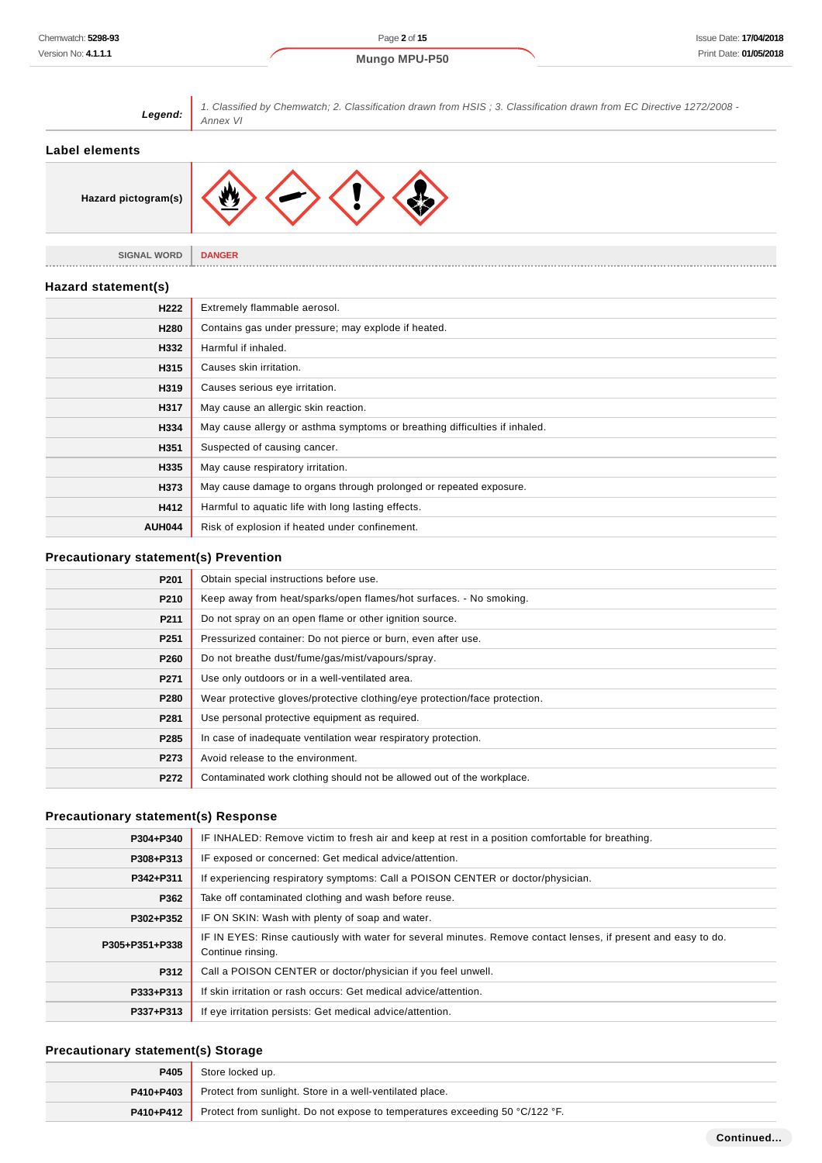| Legend:                                      | 1. Classified by Chemwatch; 2. Classification drawn from HSIS; 3. Classification drawn from EC Directive 1272/2008 -<br>Annex VI |  |  |
|----------------------------------------------|----------------------------------------------------------------------------------------------------------------------------------|--|--|
| <b>Label elements</b>                        |                                                                                                                                  |  |  |
| Hazard pictogram(s)                          |                                                                                                                                  |  |  |
| <b>SIGNAL WORD</b>                           | <b>DANGER</b>                                                                                                                    |  |  |
| Hazard statement(s)                          |                                                                                                                                  |  |  |
| H222                                         | Extremely flammable aerosol.                                                                                                     |  |  |
| H280                                         | Contains gas under pressure; may explode if heated.                                                                              |  |  |
| H332                                         | Harmful if inhaled.                                                                                                              |  |  |
| H315                                         | Causes skin irritation.                                                                                                          |  |  |
| H319                                         | Causes serious eye irritation.                                                                                                   |  |  |
| H317                                         | May cause an allergic skin reaction.                                                                                             |  |  |
| H334                                         | May cause allergy or asthma symptoms or breathing difficulties if inhaled.                                                       |  |  |
| H351                                         | Suspected of causing cancer.                                                                                                     |  |  |
| H335                                         | May cause respiratory irritation.                                                                                                |  |  |
| H373                                         | May cause damage to organs through prolonged or repeated exposure.                                                               |  |  |
| H412                                         | Harmful to aquatic life with long lasting effects.                                                                               |  |  |
| <b>AUH044</b>                                | Risk of explosion if heated under confinement.                                                                                   |  |  |
| <b>Precautionary statement(s) Prevention</b> |                                                                                                                                  |  |  |
| P <sub>201</sub>                             | Obtain special instructions before use.                                                                                          |  |  |
| P210                                         | Keep away from heat/sparks/open flames/hot surfaces. - No smoking.                                                               |  |  |
| P211                                         | Do not spray on an open flame or other ignition source.                                                                          |  |  |
| P <sub>251</sub>                             | Pressurized container: Do not pierce or burn, even after use.                                                                    |  |  |
| P260                                         | Do not breathe dust/fume/gas/mist/vapours/spray.                                                                                 |  |  |
| P271                                         | Use only outdoors or in a well-ventilated area.                                                                                  |  |  |

| F411             | OSE ONly Outdoors of the well-vehillated area.                             |
|------------------|----------------------------------------------------------------------------|
| P280             | Wear protective gloves/protective clothing/eye protection/face protection. |
| P281             | Use personal protective equipment as required.                             |
| P <sub>285</sub> | In case of inadequate ventilation wear respiratory protection.             |
| P <sub>273</sub> | Avoid release to the environment.                                          |
| P272             | Contaminated work clothing should not be allowed out of the workplace.     |

# **Precautionary statement(s) Response**

| P304+P340      | IF INHALED: Remove victim to fresh air and keep at rest in a position comfortable for breathing.                                    |  |
|----------------|-------------------------------------------------------------------------------------------------------------------------------------|--|
| P308+P313      | IF exposed or concerned: Get medical advice/attention.                                                                              |  |
| P342+P311      | If experiencing respiratory symptoms: Call a POISON CENTER or doctor/physician.                                                     |  |
| P362           | Take off contaminated clothing and wash before reuse.                                                                               |  |
| P302+P352      | IF ON SKIN: Wash with plenty of soap and water.                                                                                     |  |
| P305+P351+P338 | IF IN EYES: Rinse cautiously with water for several minutes. Remove contact lenses, if present and easy to do.<br>Continue rinsing. |  |
| P312           | Call a POISON CENTER or doctor/physician if you feel unwell.                                                                        |  |
| P333+P313      | If skin irritation or rash occurs: Get medical advice/attention.                                                                    |  |
| P337+P313      | If eye irritation persists: Get medical advice/attention.                                                                           |  |

# **Precautionary statement(s) Storage**

| P405        | Store locked up.                                                             |  |
|-------------|------------------------------------------------------------------------------|--|
| P410+P403   | Protect from sunlight. Store in a well-ventilated place.                     |  |
| $P410+P412$ | Protect from sunlight. Do not expose to temperatures exceeding 50 °C/122 °F. |  |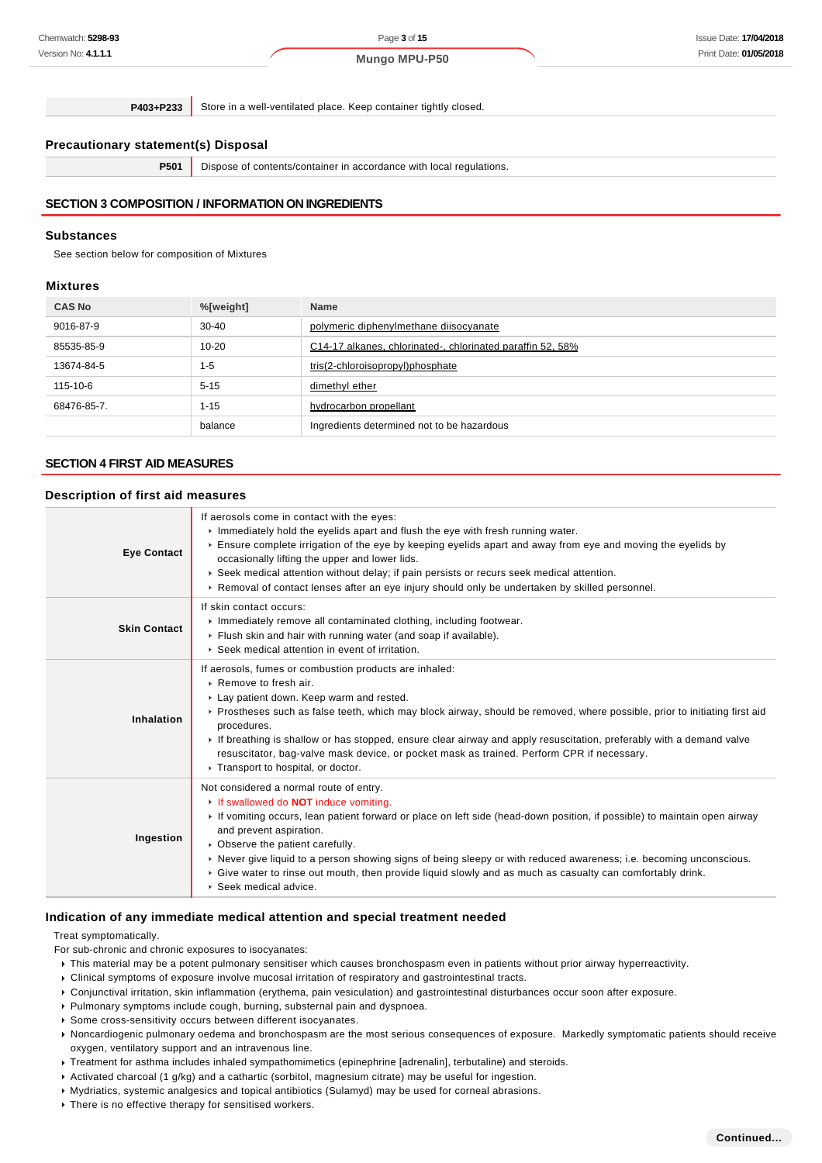**P403+P233** Store in a well-ventilated place. Keep container tightly closed.

### **Precautionary statement(s) Disposal**

**P501** Dispose of contents/container in accordance with local regulations.

### **SECTION 3 COMPOSITION / INFORMATION ON INGREDIENTS**

#### **Substances**

See section below for composition of Mixtures

#### **Mixtures**

| <b>CAS No</b> | %[weight] | <b>Name</b>                                                |
|---------------|-----------|------------------------------------------------------------|
| 9016-87-9     | $30 - 40$ | polymeric diphenylmethane diisocyanate                     |
| 85535-85-9    | $10 - 20$ | C14-17 alkanes, chlorinated-, chlorinated paraffin 52, 58% |
| 13674-84-5    | $1 - 5$   | tris(2-chloroisopropyl)phosphate                           |
| 115-10-6      | $5 - 15$  | dimethyl ether                                             |
| 68476-85-7.   | $1 - 15$  | hydrocarbon propellant                                     |
|               | balance   | Ingredients determined not to be hazardous                 |

#### **SECTION 4 FIRST AID MEASURES**

#### **Description of first aid measures**

| <b>Eye Contact</b>  | If aerosols come in contact with the eyes:<br>Immediately hold the eyelids apart and flush the eye with fresh running water.<br>Ensure complete irrigation of the eye by keeping eyelids apart and away from eye and moving the eyelids by<br>occasionally lifting the upper and lower lids.<br>► Seek medical attention without delay; if pain persists or recurs seek medical attention.<br>► Removal of contact lenses after an eye injury should only be undertaken by skilled personnel.                                                  |  |  |
|---------------------|------------------------------------------------------------------------------------------------------------------------------------------------------------------------------------------------------------------------------------------------------------------------------------------------------------------------------------------------------------------------------------------------------------------------------------------------------------------------------------------------------------------------------------------------|--|--|
| <b>Skin Contact</b> | If skin contact occurs:<br>Inmediately remove all contaminated clothing, including footwear.<br>Flush skin and hair with running water (and soap if available).<br>▶ Seek medical attention in event of irritation.                                                                                                                                                                                                                                                                                                                            |  |  |
| Inhalation          | If aerosols, fumes or combustion products are inhaled:<br>Remove to fresh air.<br>Lay patient down. Keep warm and rested.<br>► Prostheses such as false teeth, which may block airway, should be removed, where possible, prior to initiating first aid<br>procedures.<br>If breathing is shallow or has stopped, ensure clear airway and apply resuscitation, preferably with a demand valve<br>resuscitator, bag-valve mask device, or pocket mask as trained. Perform CPR if necessary.<br>Transport to hospital, or doctor.                |  |  |
| Ingestion           | Not considered a normal route of entry.<br>If swallowed do <b>NOT</b> induce vomiting.<br>If vomiting occurs, lean patient forward or place on left side (head-down position, if possible) to maintain open airway<br>and prevent aspiration.<br>• Observe the patient carefully.<br>► Never give liquid to a person showing signs of being sleepy or with reduced awareness; i.e. becoming unconscious.<br>Give water to rinse out mouth, then provide liquid slowly and as much as casualty can comfortably drink.<br>▶ Seek medical advice. |  |  |

#### **Indication of any immediate medical attention and special treatment needed**

#### Treat symptomatically.

For sub-chronic and chronic exposures to isocyanates:

- This material may be a potent pulmonary sensitiser which causes bronchospasm even in patients without prior airway hyperreactivity.
- Clinical symptoms of exposure involve mucosal irritation of respiratory and gastrointestinal tracts.
- Conjunctival irritation, skin inflammation (erythema, pain vesiculation) and gastrointestinal disturbances occur soon after exposure.
- Pulmonary symptoms include cough, burning, substernal pain and dyspnoea.
- Some cross-sensitivity occurs between different isocyanates.
- Noncardiogenic pulmonary oedema and bronchospasm are the most serious consequences of exposure. Markedly symptomatic patients should receive oxygen, ventilatory support and an intravenous line.
- Treatment for asthma includes inhaled sympathomimetics (epinephrine [adrenalin], terbutaline) and steroids.
- Activated charcoal (1 g/kg) and a cathartic (sorbitol, magnesium citrate) may be useful for ingestion.
- Mydriatics, systemic analgesics and topical antibiotics (Sulamyd) may be used for corneal abrasions.
- ▶ There is no effective therapy for sensitised workers.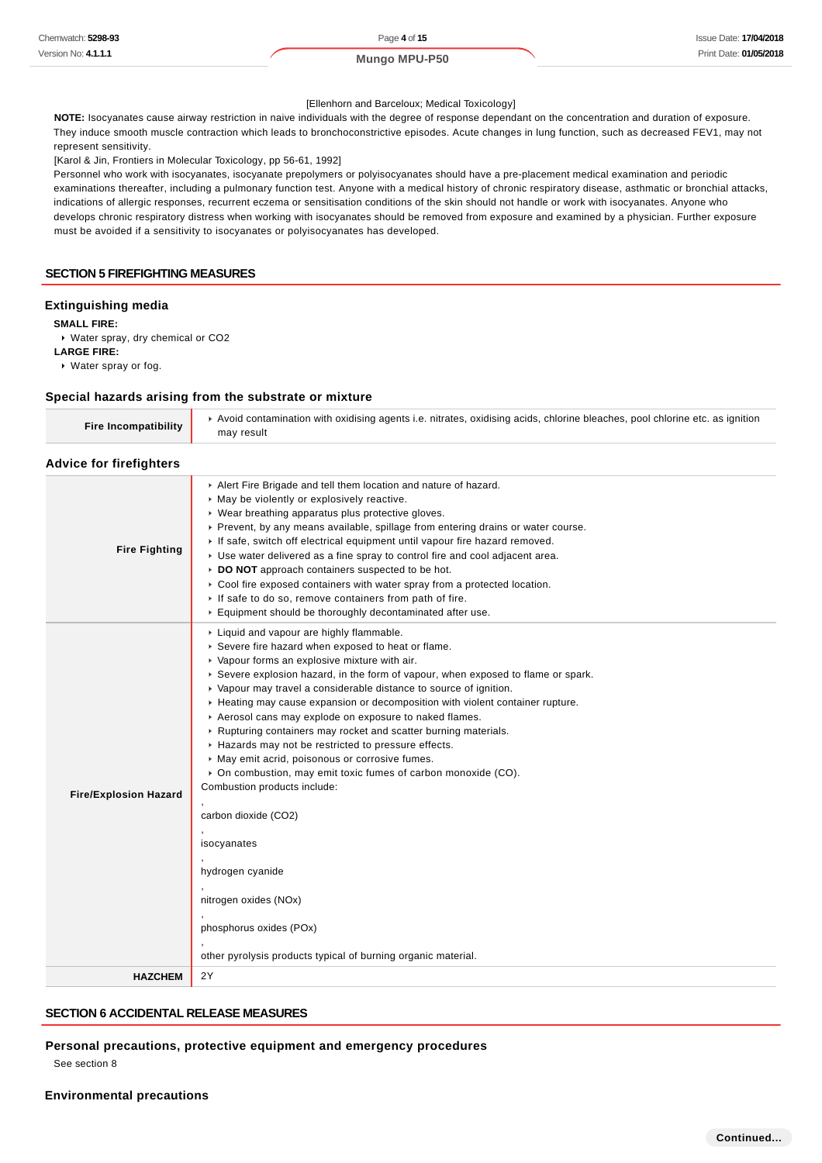#### [Ellenhorn and Barceloux; Medical Toxicology]

**NOTE:** Isocyanates cause airway restriction in naive individuals with the degree of response dependant on the concentration and duration of exposure. They induce smooth muscle contraction which leads to bronchoconstrictive episodes. Acute changes in lung function, such as decreased FEV1, may not represent sensitivity.

[Karol & Jin, Frontiers in Molecular Toxicology, pp 56-61, 1992]

Personnel who work with isocyanates, isocyanate prepolymers or polyisocyanates should have a pre-placement medical examination and periodic examinations thereafter, including a pulmonary function test. Anyone with a medical history of chronic respiratory disease, asthmatic or bronchial attacks, indications of allergic responses, recurrent eczema or sensitisation conditions of the skin should not handle or work with isocyanates. Anyone who develops chronic respiratory distress when working with isocyanates should be removed from exposure and examined by a physician. Further exposure must be avoided if a sensitivity to isocyanates or polyisocyanates has developed.

#### **SECTION 5 FIREFIGHTING MEASURES**

#### **Extinguishing media**

**SMALL FIRE:**

Water spray, dry chemical or CO2

**LARGE FIRE:**

Water spray or fog.

### **Special hazards arising from the substrate or mixture**

| Special nazards arising from the substrate or mixture |                                                                                                                                                                                                                                                                                                                                                                                                                                                                                                                                                                                                                                                                                                                                                                                                                    |  |
|-------------------------------------------------------|--------------------------------------------------------------------------------------------------------------------------------------------------------------------------------------------------------------------------------------------------------------------------------------------------------------------------------------------------------------------------------------------------------------------------------------------------------------------------------------------------------------------------------------------------------------------------------------------------------------------------------------------------------------------------------------------------------------------------------------------------------------------------------------------------------------------|--|
| <b>Fire Incompatibility</b>                           | ► Avoid contamination with oxidising agents i.e. nitrates, oxidising acids, chlorine bleaches, pool chlorine etc. as ignition<br>may result                                                                                                                                                                                                                                                                                                                                                                                                                                                                                                                                                                                                                                                                        |  |
| <b>Advice for firefighters</b>                        |                                                                                                                                                                                                                                                                                                                                                                                                                                                                                                                                                                                                                                                                                                                                                                                                                    |  |
| <b>Fire Fighting</b>                                  | Alert Fire Brigade and tell them location and nature of hazard.<br>May be violently or explosively reactive.<br>▶ Wear breathing apparatus plus protective gloves.<br>▶ Prevent, by any means available, spillage from entering drains or water course.<br>If safe, switch off electrical equipment until vapour fire hazard removed.<br>▶ Use water delivered as a fine spray to control fire and cool adjacent area.<br>DO NOT approach containers suspected to be hot.<br>► Cool fire exposed containers with water spray from a protected location.<br>If safe to do so, remove containers from path of fire.<br>Equipment should be thoroughly decontaminated after use.                                                                                                                                      |  |
| <b>Fire/Explosion Hazard</b>                          | Liquid and vapour are highly flammable.<br>Severe fire hazard when exposed to heat or flame.<br>▶ Vapour forms an explosive mixture with air.<br>► Severe explosion hazard, in the form of vapour, when exposed to flame or spark.<br>▶ Vapour may travel a considerable distance to source of ignition.<br>► Heating may cause expansion or decomposition with violent container rupture.<br>Aerosol cans may explode on exposure to naked flames.<br>Rupturing containers may rocket and scatter burning materials.<br>Hazards may not be restricted to pressure effects.<br>May emit acrid, poisonous or corrosive fumes.<br>• On combustion, may emit toxic fumes of carbon monoxide (CO).<br>Combustion products include:<br>carbon dioxide (CO2)<br>isocyanates<br>hydrogen cyanide<br>nitrogen oxides (NOx) |  |

**HAZCHEM** 2Y

#### **SECTION 6 ACCIDENTAL RELEASE MEASURES**

,

**Personal precautions, protective equipment and emergency procedures**

phosphorus oxides (POx)

other pyrolysis products typical of burning organic material.

See section 8

**Environmental precautions**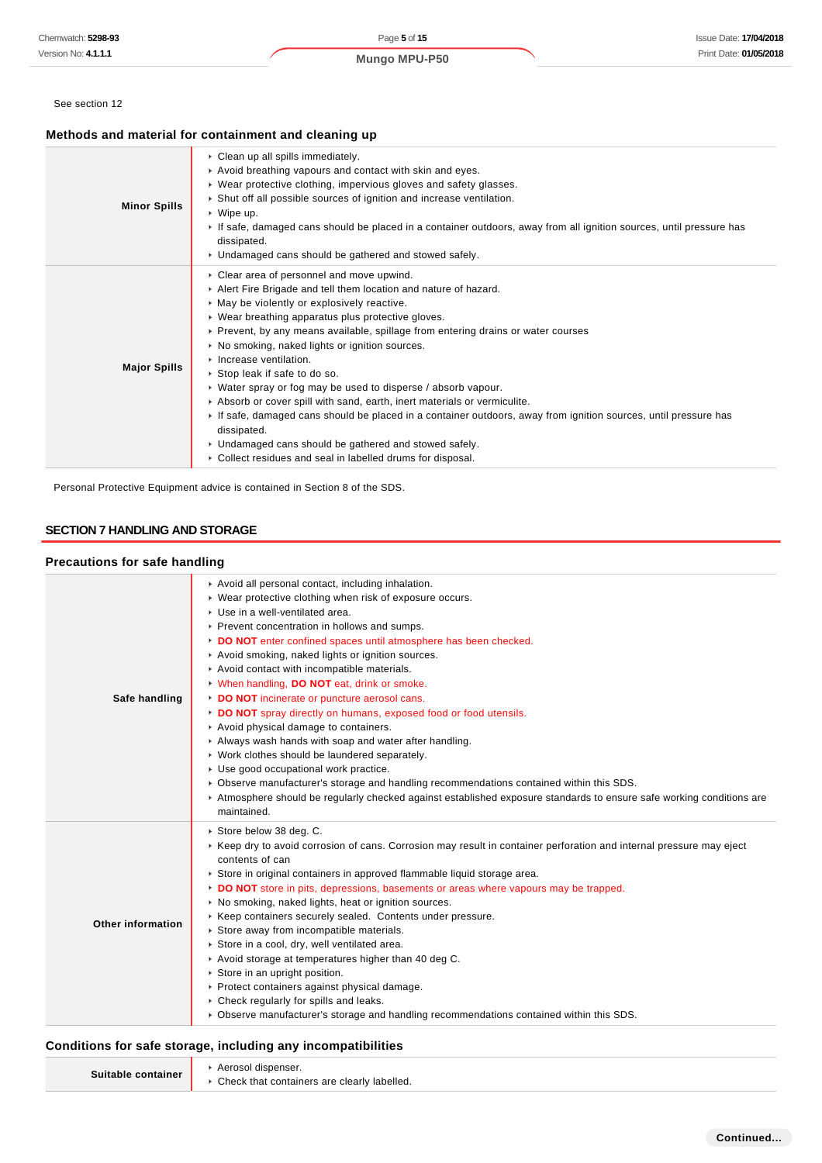#### See section 12

### **Methods and material for containment and cleaning up**

| <b>Minor Spills</b> | Clean up all spills immediately.<br>Avoid breathing vapours and contact with skin and eyes.<br>• Wear protective clothing, impervious gloves and safety glasses.<br>Shut off all possible sources of ignition and increase ventilation.<br>▶ Wipe up.<br>If safe, damaged cans should be placed in a container outdoors, away from all ignition sources, until pressure has<br>dissipated.<br>• Undamaged cans should be gathered and stowed safely.                                                                                                                                                                                                                                                                                                                                                                       |
|---------------------|----------------------------------------------------------------------------------------------------------------------------------------------------------------------------------------------------------------------------------------------------------------------------------------------------------------------------------------------------------------------------------------------------------------------------------------------------------------------------------------------------------------------------------------------------------------------------------------------------------------------------------------------------------------------------------------------------------------------------------------------------------------------------------------------------------------------------|
| <b>Major Spills</b> | • Clear area of personnel and move upwind.<br>Alert Fire Brigade and tell them location and nature of hazard.<br>• May be violently or explosively reactive.<br>• Wear breathing apparatus plus protective gloves.<br>▶ Prevent, by any means available, spillage from entering drains or water courses<br>• No smoking, naked lights or ignition sources.<br>Increase ventilation.<br>▶ Stop leak if safe to do so.<br>• Water spray or fog may be used to disperse / absorb vapour.<br>Absorb or cover spill with sand, earth, inert materials or vermiculite.<br>If safe, damaged cans should be placed in a container outdoors, away from ignition sources, until pressure has<br>dissipated.<br>• Undamaged cans should be gathered and stowed safely.<br>• Collect residues and seal in labelled drums for disposal. |

Personal Protective Equipment advice is contained in Section 8 of the SDS.

### **SECTION 7 HANDLING AND STORAGE**

#### **Precautions for safe handling**

| Safe handling            | Avoid all personal contact, including inhalation.<br>• Wear protective clothing when risk of exposure occurs.<br>▶ Use in a well-ventilated area.<br>▶ Prevent concentration in hollows and sumps.<br>DO NOT enter confined spaces until atmosphere has been checked.<br>Avoid smoking, naked lights or ignition sources.<br>Avoid contact with incompatible materials.<br>V When handling, DO NOT eat, drink or smoke.<br>DO NOT incinerate or puncture aerosol cans.<br>DO NOT spray directly on humans, exposed food or food utensils.<br>Avoid physical damage to containers.<br>Always wash hands with soap and water after handling.<br>▶ Work clothes should be laundered separately.<br>▶ Use good occupational work practice.<br>▶ Observe manufacturer's storage and handling recommendations contained within this SDS.<br>Atmosphere should be regularly checked against established exposure standards to ensure safe working conditions are<br>maintained. |
|--------------------------|--------------------------------------------------------------------------------------------------------------------------------------------------------------------------------------------------------------------------------------------------------------------------------------------------------------------------------------------------------------------------------------------------------------------------------------------------------------------------------------------------------------------------------------------------------------------------------------------------------------------------------------------------------------------------------------------------------------------------------------------------------------------------------------------------------------------------------------------------------------------------------------------------------------------------------------------------------------------------|
| <b>Other information</b> | ▶ Store below 38 deg. C.<br>► Keep dry to avoid corrosion of cans. Corrosion may result in container perforation and internal pressure may eject<br>contents of can<br>Store in original containers in approved flammable liquid storage area.<br>DO NOT store in pits, depressions, basements or areas where vapours may be trapped.<br>• No smoking, naked lights, heat or ignition sources.<br>▶ Keep containers securely sealed. Contents under pressure.<br>Store away from incompatible materials.<br>Store in a cool, dry, well ventilated area.<br>Avoid storage at temperatures higher than 40 deg C.<br>$\triangleright$ Store in an upright position.<br>▶ Protect containers against physical damage.<br>• Check regularly for spills and leaks.<br>► Observe manufacturer's storage and handling recommendations contained within this SDS.                                                                                                                 |

#### **Conditions for safe storage, including any incompatibilities**

| Suitable container | Aerosol dispenser.                            |
|--------------------|-----------------------------------------------|
|                    | • Check that containers are clearly labelled. |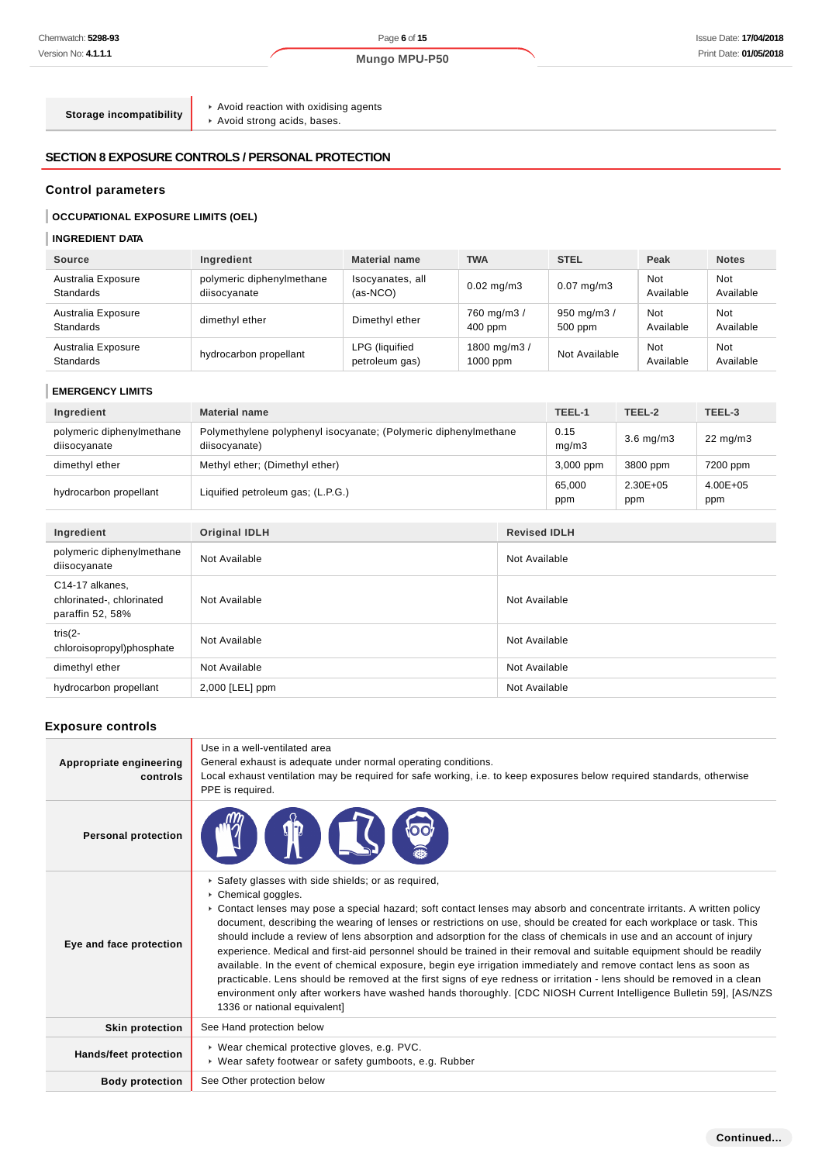**Storage incompatibility**

 $\blacktriangleright$  Avoid reaction with oxidising agents

Avoid strong acids, bases.

## **SECTION 8 EXPOSURE CONTROLS / PERSONAL PROTECTION**

### **Control parameters**

# **OCCUPATIONAL EXPOSURE LIMITS (OEL)**

# **INGREDIENT DATA**

| <b>Source</b>                          | Ingredient                                | <b>Material name</b>             | <b>TWA</b>                | <b>STEL</b>                | Peak                    | <b>Notes</b>     |
|----------------------------------------|-------------------------------------------|----------------------------------|---------------------------|----------------------------|-------------------------|------------------|
| Australia Exposure<br><b>Standards</b> | polymeric diphenylmethane<br>diisocyanate | Isocyanates, all<br>$(as-NCO)$   | $0.02 \text{ mg/m}$ 3     | $0.07$ mg/m $3$            | <b>Not</b><br>Available | Not<br>Available |
| Australia Exposure<br><b>Standards</b> | dimethyl ether                            | Dimethyl ether                   | 760 mg/m3 /<br>$400$ ppm  | 950 mg/m $3/$<br>$500$ ppm | Not<br>Available        | Not<br>Available |
| Australia Exposure<br><b>Standards</b> | hydrocarbon propellant                    | LPG (liquified<br>petroleum gas) | 1800 mg/m3/<br>$1000$ ppm | Not Available              | Not<br>Available        | Not<br>Available |

## **EMERGENCY LIMITS**

| Ingredient                                                       | <b>Material name</b>                                                             |               | TEEL-1        | TEEL-2              | TEEL-3              |
|------------------------------------------------------------------|----------------------------------------------------------------------------------|---------------|---------------|---------------------|---------------------|
| polymeric diphenylmethane<br>diisocyanate                        | Polymethylene polyphenyl isocyanate; (Polymeric diphenylmethane<br>diisocyanate) |               | 0.15<br>mg/m3 | $3.6$ mg/m $3$      | $22 \text{ mg/m}$   |
| dimethyl ether                                                   | Methyl ether; (Dimethyl ether)                                                   |               | 3,000 ppm     | 3800 ppm            | 7200 ppm            |
| hydrocarbon propellant                                           | Liquified petroleum gas; (L.P.G.)                                                |               | 65,000<br>ppm | $2.30E + 05$<br>ppm | $4.00E + 05$<br>ppm |
|                                                                  |                                                                                  |               |               |                     |                     |
| Ingredient                                                       | <b>Original IDLH</b><br><b>Revised IDLH</b>                                      |               |               |                     |                     |
| polymeric diphenylmethane<br>diisocyanate                        | Not Available                                                                    | Not Available |               |                     |                     |
| C14-17 alkanes,<br>chlorinated-, chlorinated<br>paraffin 52, 58% | Not Available                                                                    | Not Available |               |                     |                     |
| tris $(2 -$<br>chloroisopropyl)phosphate                         | Not Available                                                                    | Not Available |               |                     |                     |
| dimethyl ether                                                   | Not Available                                                                    | Not Available |               |                     |                     |
| hydrocarbon propellant                                           | $2,000$ [LEL] ppm                                                                | Not Available |               |                     |                     |

### **Exposure controls**

| Appropriate engineering<br>controls                                                                                             | Use in a well-ventilated area<br>General exhaust is adequate under normal operating conditions.<br>Local exhaust ventilation may be required for safe working, i.e. to keep exposures below required standards, otherwise<br>PPE is required.                                                                                                                                                                                                                                                                                                                                                                                                                                                                                                                                                                                                                                                                                                                                      |  |  |
|---------------------------------------------------------------------------------------------------------------------------------|------------------------------------------------------------------------------------------------------------------------------------------------------------------------------------------------------------------------------------------------------------------------------------------------------------------------------------------------------------------------------------------------------------------------------------------------------------------------------------------------------------------------------------------------------------------------------------------------------------------------------------------------------------------------------------------------------------------------------------------------------------------------------------------------------------------------------------------------------------------------------------------------------------------------------------------------------------------------------------|--|--|
| <b>Personal protection</b>                                                                                                      | T                                                                                                                                                                                                                                                                                                                                                                                                                                                                                                                                                                                                                                                                                                                                                                                                                                                                                                                                                                                  |  |  |
| Eye and face protection                                                                                                         | Safety glasses with side shields; or as required,<br>Chemical goggles.<br>► Contact lenses may pose a special hazard; soft contact lenses may absorb and concentrate irritants. A written policy<br>document, describing the wearing of lenses or restrictions on use, should be created for each workplace or task. This<br>should include a review of lens absorption and adsorption for the class of chemicals in use and an account of injury<br>experience. Medical and first-aid personnel should be trained in their removal and suitable equipment should be readily<br>available. In the event of chemical exposure, begin eye irrigation immediately and remove contact lens as soon as<br>practicable. Lens should be removed at the first signs of eye redness or irritation - lens should be removed in a clean<br>environment only after workers have washed hands thoroughly. [CDC NIOSH Current Intelligence Bulletin 59], [AS/NZS<br>1336 or national equivalent] |  |  |
| <b>Skin protection</b>                                                                                                          | See Hand protection below                                                                                                                                                                                                                                                                                                                                                                                                                                                                                                                                                                                                                                                                                                                                                                                                                                                                                                                                                          |  |  |
| ▶ Wear chemical protective gloves, e.g. PVC.<br>Hands/feet protection<br>▶ Wear safety footwear or safety gumboots, e.g. Rubber |                                                                                                                                                                                                                                                                                                                                                                                                                                                                                                                                                                                                                                                                                                                                                                                                                                                                                                                                                                                    |  |  |
| <b>Body protection</b>                                                                                                          | See Other protection below                                                                                                                                                                                                                                                                                                                                                                                                                                                                                                                                                                                                                                                                                                                                                                                                                                                                                                                                                         |  |  |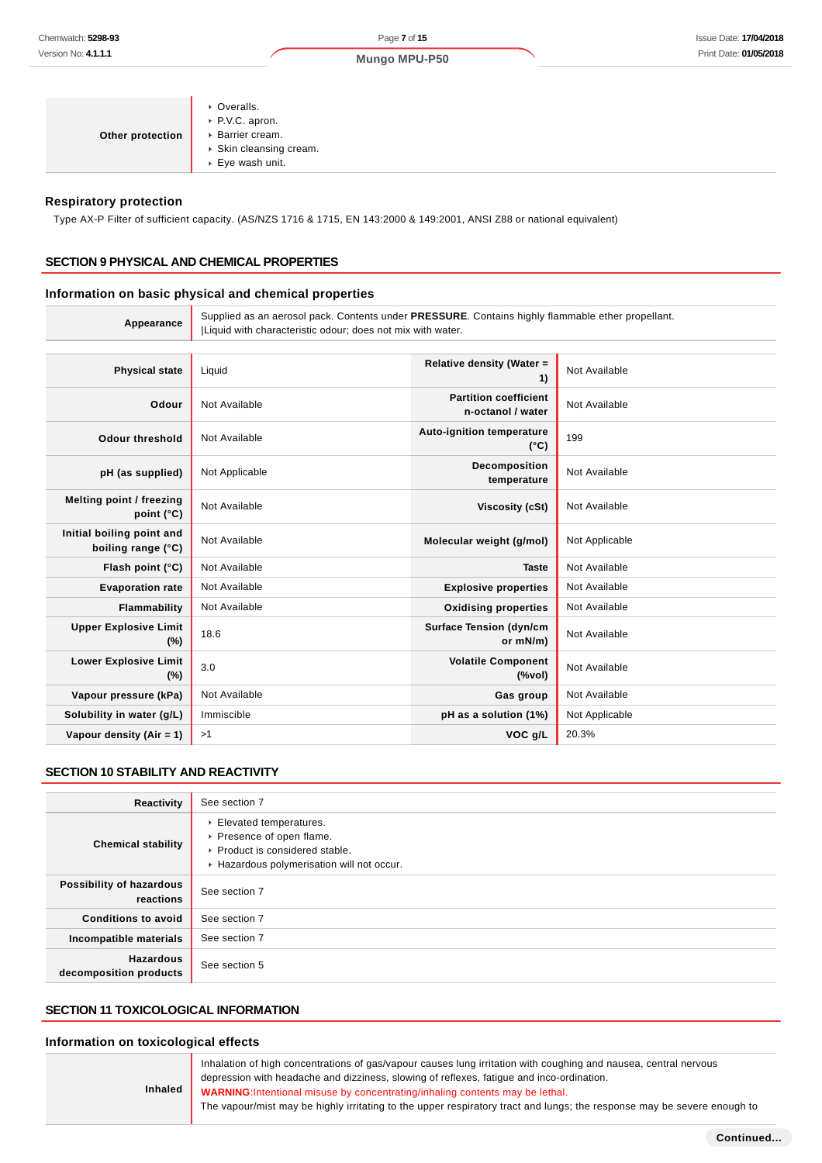Page **7** of **15 Mungo MPU-P50**

| Other protection | ▶ Overalls.<br>▶ P.V.C. apron.<br>▶ Barrier cream.<br>Skin cleansing cream. |
|------------------|-----------------------------------------------------------------------------|
|                  | $\triangleright$ Eye wash unit.                                             |
|                  |                                                                             |

#### **Respiratory protection**

Type AX-P Filter of sufficient capacity. (AS/NZS 1716 & 1715, EN 143:2000 & 149:2001, ANSI Z88 or national equivalent)

### **SECTION 9 PHYSICAL AND CHEMICAL PROPERTIES**

### **Information on basic physical and chemical properties**

| Appearance                                      | Supplied as an aerosol pack. Contents under PRESSURE. Contains highly flammable ether propellant.<br> Liquid with characteristic odour; does not mix with water. |                                                   |                |
|-------------------------------------------------|------------------------------------------------------------------------------------------------------------------------------------------------------------------|---------------------------------------------------|----------------|
|                                                 |                                                                                                                                                                  |                                                   |                |
| <b>Physical state</b>                           | Liquid                                                                                                                                                           | Relative density (Water =<br>1)                   | Not Available  |
| Odour                                           | Not Available                                                                                                                                                    | <b>Partition coefficient</b><br>n-octanol / water | Not Available  |
| <b>Odour threshold</b>                          | Not Available                                                                                                                                                    | Auto-ignition temperature<br>$(^{\circ}C)$        | 199            |
| pH (as supplied)                                | Not Applicable                                                                                                                                                   | Decomposition<br>temperature                      | Not Available  |
| Melting point / freezing<br>point (°C)          | Not Available                                                                                                                                                    | Viscosity (cSt)                                   | Not Available  |
| Initial boiling point and<br>boiling range (°C) | Not Available                                                                                                                                                    | Molecular weight (g/mol)                          | Not Applicable |
| Flash point (°C)                                | Not Available                                                                                                                                                    | <b>Taste</b>                                      | Not Available  |
| <b>Evaporation rate</b>                         | Not Available                                                                                                                                                    | <b>Explosive properties</b>                       | Not Available  |
| Flammability                                    | Not Available                                                                                                                                                    | <b>Oxidising properties</b>                       | Not Available  |
| <b>Upper Explosive Limit</b><br>(%)             | 18.6                                                                                                                                                             | <b>Surface Tension (dyn/cm</b><br>or mN/m)        | Not Available  |
| <b>Lower Explosive Limit</b><br>$(\%)$          | 3.0                                                                                                                                                              | <b>Volatile Component</b><br>(%                   | Not Available  |
| Vapour pressure (kPa)                           | Not Available                                                                                                                                                    | Gas group                                         | Not Available  |
| Solubility in water (g/L)                       | Immiscible                                                                                                                                                       | pH as a solution (1%)                             | Not Applicable |
| Vapour density $(Air = 1)$                      | >1                                                                                                                                                               | VOC g/L                                           | 20.3%          |

#### **SECTION 10 STABILITY AND REACTIVITY**

| Reactivity                                 | See section 7                                                                                                                      |
|--------------------------------------------|------------------------------------------------------------------------------------------------------------------------------------|
| <b>Chemical stability</b>                  | Elevated temperatures.<br>▶ Presence of open flame.<br>▶ Product is considered stable.<br>Hazardous polymerisation will not occur. |
| Possibility of hazardous<br>reactions      | See section 7                                                                                                                      |
| <b>Conditions to avoid</b>                 | See section 7                                                                                                                      |
| Incompatible materials                     | See section 7                                                                                                                      |
| <b>Hazardous</b><br>decomposition products | See section 5                                                                                                                      |

# **SECTION 11 TOXICOLOGICAL INFORMATION**

### **Information on toxicological effects**

| <b>Inhaled</b> | Inhalation of high concentrations of gas/vapour causes lung irritation with coughing and nausea, central nervous<br>depression with headache and dizziness, slowing of reflexes, fatique and inco-ordination.<br>WARNING: Intentional misuse by concentrating/inhaling contents may be lethal.<br>The vapour/mist may be highly irritating to the upper respiratory tract and lungs; the response may be severe enough to |
|----------------|---------------------------------------------------------------------------------------------------------------------------------------------------------------------------------------------------------------------------------------------------------------------------------------------------------------------------------------------------------------------------------------------------------------------------|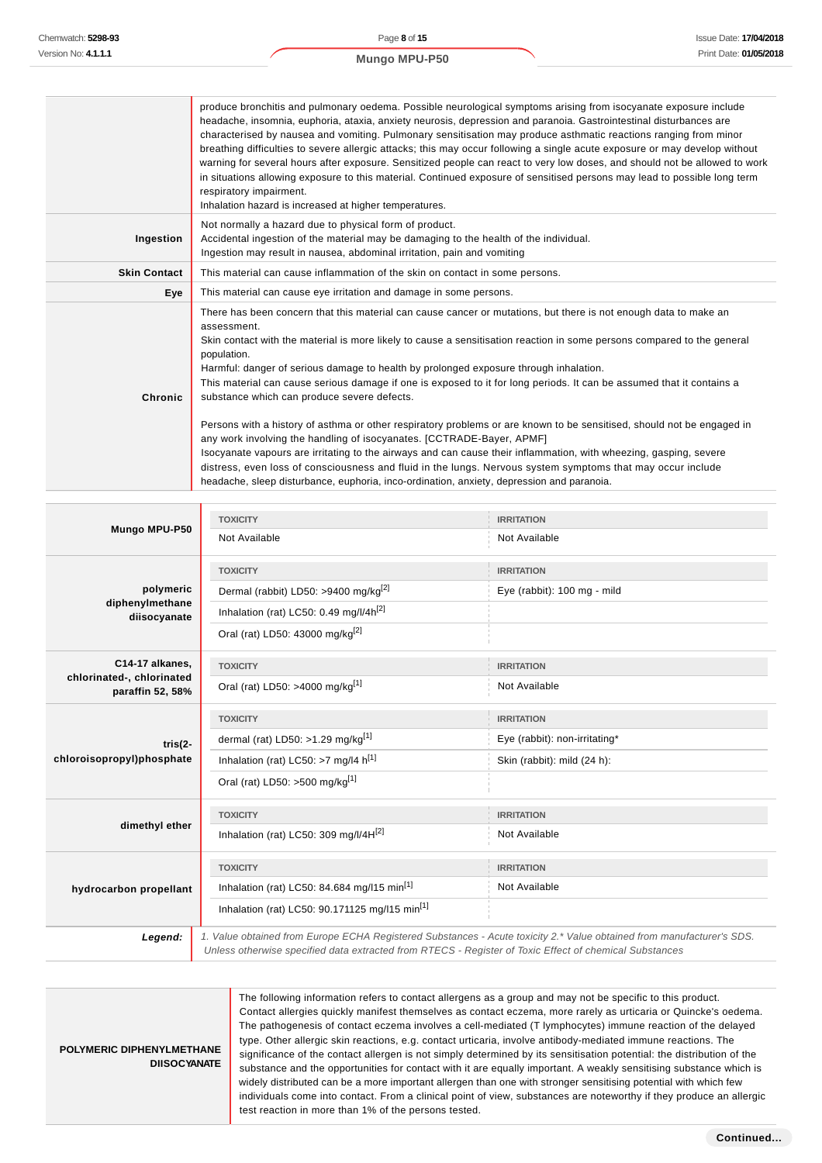|                     | produce bronchitis and pulmonary oedema. Possible neurological symptoms arising from isocyanate exposure include<br>headache, insomnia, euphoria, ataxia, anxiety neurosis, depression and paranoia. Gastrointestinal disturbances are<br>characterised by nausea and vomiting. Pulmonary sensitisation may produce asthmatic reactions ranging from minor<br>breathing difficulties to severe allergic attacks; this may occur following a single acute exposure or may develop without<br>warning for several hours after exposure. Sensitized people can react to very low doses, and should not be allowed to work<br>in situations allowing exposure to this material. Continued exposure of sensitised persons may lead to possible long term<br>respiratory impairment.<br>Inhalation hazard is increased at higher temperatures.                                                                                                                                          |
|---------------------|-----------------------------------------------------------------------------------------------------------------------------------------------------------------------------------------------------------------------------------------------------------------------------------------------------------------------------------------------------------------------------------------------------------------------------------------------------------------------------------------------------------------------------------------------------------------------------------------------------------------------------------------------------------------------------------------------------------------------------------------------------------------------------------------------------------------------------------------------------------------------------------------------------------------------------------------------------------------------------------|
| Ingestion           | Not normally a hazard due to physical form of product.<br>Accidental ingestion of the material may be damaging to the health of the individual.<br>Ingestion may result in nausea, abdominal irritation, pain and vomiting                                                                                                                                                                                                                                                                                                                                                                                                                                                                                                                                                                                                                                                                                                                                                        |
| <b>Skin Contact</b> | This material can cause inflammation of the skin on contact in some persons.                                                                                                                                                                                                                                                                                                                                                                                                                                                                                                                                                                                                                                                                                                                                                                                                                                                                                                      |
| Eye                 | This material can cause eye irritation and damage in some persons.                                                                                                                                                                                                                                                                                                                                                                                                                                                                                                                                                                                                                                                                                                                                                                                                                                                                                                                |
| Chronic             | There has been concern that this material can cause cancer or mutations, but there is not enough data to make an<br>assessment.<br>Skin contact with the material is more likely to cause a sensitisation reaction in some persons compared to the general<br>population.<br>Harmful: danger of serious damage to health by prolonged exposure through inhalation.<br>This material can cause serious damage if one is exposed to it for long periods. It can be assumed that it contains a<br>substance which can produce severe defects.<br>Persons with a history of asthma or other respiratory problems or are known to be sensitised, should not be engaged in<br>any work involving the handling of isocyanates. [CCTRADE-Bayer, APMF]<br>Isocyanate vapours are irritating to the airways and can cause their inflammation, with wheezing, gasping, severe<br>distress, even loss of consciousness and fluid in the lungs. Nervous system symptoms that may occur include |

|                                               | <b>TOXICITY</b>                                                                                        | <b>IRRITATION</b>                                                                                                     |
|-----------------------------------------------|--------------------------------------------------------------------------------------------------------|-----------------------------------------------------------------------------------------------------------------------|
| Mungo MPU-P50                                 | Not Available                                                                                          | Not Available                                                                                                         |
|                                               | <b>TOXICITY</b>                                                                                        | <b>IRRITATION</b>                                                                                                     |
| polymeric                                     | Dermal (rabbit) LD50: >9400 mg/kg <sup>[2]</sup>                                                       | Eye (rabbit): 100 mg - mild                                                                                           |
| diphenylmethane<br>diisocyanate               | Inhalation (rat) LC50: 0.49 mg/l/4h <sup>[2]</sup>                                                     |                                                                                                                       |
|                                               | Oral (rat) LD50: 43000 mg/kg <sup>[2]</sup>                                                            |                                                                                                                       |
| C14-17 alkanes,                               | <b>TOXICITY</b>                                                                                        | <b>IRRITATION</b>                                                                                                     |
| chlorinated-, chlorinated<br>paraffin 52, 58% | Oral (rat) LD50: >4000 mg/kg <sup>[1]</sup>                                                            | Not Available                                                                                                         |
|                                               | <b>TOXICITY</b>                                                                                        | <b>IRRITATION</b>                                                                                                     |
| tris $(2 -$                                   | dermal (rat) LD50: >1.29 mg/kg <sup>[1]</sup>                                                          | Eye (rabbit): non-irritating*                                                                                         |
| chloroisopropyl)phosphate                     | Inhalation (rat) LC50: >7 mg/l4 $h^{[1]}$                                                              | Skin (rabbit): mild (24 h):                                                                                           |
|                                               | Oral (rat) LD50: >500 mg/kg <sup>[1]</sup>                                                             |                                                                                                                       |
|                                               | <b>TOXICITY</b>                                                                                        | <b>IRRITATION</b>                                                                                                     |
| dimethyl ether                                | Inhalation (rat) LC50: 309 mg/l/4H[2]                                                                  | Not Available                                                                                                         |
|                                               | <b>TOXICITY</b>                                                                                        | <b>IRRITATION</b>                                                                                                     |
| hydrocarbon propellant                        | Inhalation (rat) LC50: 84.684 mg/l15 min <sup>[1]</sup>                                                | Not Available                                                                                                         |
|                                               | Inhalation (rat) LC50: 90.171125 mg/l15 min <sup>[1]</sup>                                             |                                                                                                                       |
| Legend:                                       | Unless otherwise specified data extracted from RTECS - Register of Toxic Effect of chemical Substances | 1. Value obtained from Europe ECHA Registered Substances - Acute toxicity 2.* Value obtained from manufacturer's SDS. |

**POLYMERIC DIPHENYLMETHANE DIISOCYANATE**

The following information refers to contact allergens as a group and may not be specific to this product. Contact allergies quickly manifest themselves as contact eczema, more rarely as urticaria or Quincke's oedema. The pathogenesis of contact eczema involves a cell-mediated (T lymphocytes) immune reaction of the delayed type. Other allergic skin reactions, e.g. contact urticaria, involve antibody-mediated immune reactions. The significance of the contact allergen is not simply determined by its sensitisation potential: the distribution of the substance and the opportunities for contact with it are equally important. A weakly sensitising substance which is widely distributed can be a more important allergen than one with stronger sensitising potential with which few individuals come into contact. From a clinical point of view, substances are noteworthy if they produce an allergic test reaction in more than 1% of the persons tested.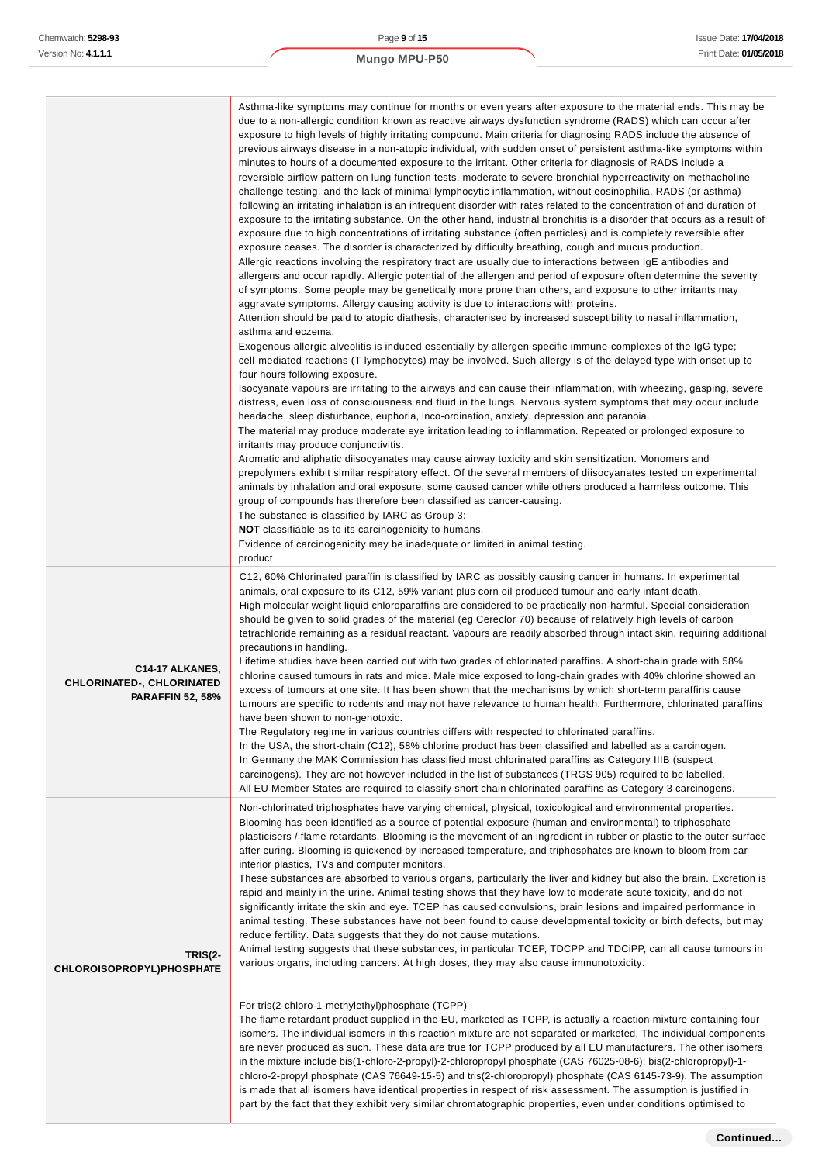| <b>Mungo MPU-P50</b> |
|----------------------|

|                                                                                | Asthma-like symptoms may continue for months or even years after exposure to the material ends. This may be<br>due to a non-allergic condition known as reactive airways dysfunction syndrome (RADS) which can occur after<br>exposure to high levels of highly irritating compound. Main criteria for diagnosing RADS include the absence of<br>previous airways disease in a non-atopic individual, with sudden onset of persistent asthma-like symptoms within<br>minutes to hours of a documented exposure to the irritant. Other criteria for diagnosis of RADS include a<br>reversible airflow pattern on lung function tests, moderate to severe bronchial hyperreactivity on methacholine<br>challenge testing, and the lack of minimal lymphocytic inflammation, without eosinophilia. RADS (or asthma)<br>following an irritating inhalation is an infrequent disorder with rates related to the concentration of and duration of<br>exposure to the irritating substance. On the other hand, industrial bronchitis is a disorder that occurs as a result of<br>exposure due to high concentrations of irritating substance (often particles) and is completely reversible after<br>exposure ceases. The disorder is characterized by difficulty breathing, cough and mucus production.<br>Allergic reactions involving the respiratory tract are usually due to interactions between IgE antibodies and<br>allergens and occur rapidly. Allergic potential of the allergen and period of exposure often determine the severity<br>of symptoms. Some people may be genetically more prone than others, and exposure to other irritants may<br>aggravate symptoms. Allergy causing activity is due to interactions with proteins.<br>Attention should be paid to atopic diathesis, characterised by increased susceptibility to nasal inflammation,<br>asthma and eczema.<br>Exogenous allergic alveolitis is induced essentially by allergen specific immune-complexes of the IgG type;<br>cell-mediated reactions (T lymphocytes) may be involved. Such allergy is of the delayed type with onset up to<br>four hours following exposure.<br>Isocyanate vapours are irritating to the airways and can cause their inflammation, with wheezing, gasping, severe<br>distress, even loss of consciousness and fluid in the lungs. Nervous system symptoms that may occur include<br>headache, sleep disturbance, euphoria, inco-ordination, anxiety, depression and paranoia.<br>The material may produce moderate eye irritation leading to inflammation. Repeated or prolonged exposure to<br>irritants may produce conjunctivitis.<br>Aromatic and aliphatic diisocyanates may cause airway toxicity and skin sensitization. Monomers and<br>prepolymers exhibit similar respiratory effect. Of the several members of diisocyanates tested on experimental<br>animals by inhalation and oral exposure, some caused cancer while others produced a harmless outcome. This<br>group of compounds has therefore been classified as cancer-causing.<br>The substance is classified by IARC as Group 3:<br><b>NOT</b> classifiable as to its carcinogenicity to humans.<br>Evidence of carcinogenicity may be inadequate or limited in animal testing.<br>product |
|--------------------------------------------------------------------------------|--------------------------------------------------------------------------------------------------------------------------------------------------------------------------------------------------------------------------------------------------------------------------------------------------------------------------------------------------------------------------------------------------------------------------------------------------------------------------------------------------------------------------------------------------------------------------------------------------------------------------------------------------------------------------------------------------------------------------------------------------------------------------------------------------------------------------------------------------------------------------------------------------------------------------------------------------------------------------------------------------------------------------------------------------------------------------------------------------------------------------------------------------------------------------------------------------------------------------------------------------------------------------------------------------------------------------------------------------------------------------------------------------------------------------------------------------------------------------------------------------------------------------------------------------------------------------------------------------------------------------------------------------------------------------------------------------------------------------------------------------------------------------------------------------------------------------------------------------------------------------------------------------------------------------------------------------------------------------------------------------------------------------------------------------------------------------------------------------------------------------------------------------------------------------------------------------------------------------------------------------------------------------------------------------------------------------------------------------------------------------------------------------------------------------------------------------------------------------------------------------------------------------------------------------------------------------------------------------------------------------------------------------------------------------------------------------------------------------------------------------------------------------------------------------------------------------------------------------------------------------------------------------------------------------------------------------------------------------------------------------------------------------------------------------------------------------------------------------------------------------------------------------------------------------------------------------------------------------------------------------------------------------|
| C14-17 ALKANES,<br><b>CHLORINATED-, CHLORINATED</b><br><b>PARAFFIN 52, 58%</b> | C12, 60% Chlorinated paraffin is classified by IARC as possibly causing cancer in humans. In experimental<br>animals, oral exposure to its C12, 59% variant plus corn oil produced tumour and early infant death.<br>High molecular weight liquid chloroparaffins are considered to be practically non-harmful. Special consideration<br>should be given to solid grades of the material (eg Cereclor 70) because of relatively high levels of carbon<br>tetrachloride remaining as a residual reactant. Vapours are readily absorbed through intact skin, requiring additional<br>precautions in handling.<br>Lifetime studies have been carried out with two grades of chlorinated paraffins. A short-chain grade with 58%<br>chlorine caused tumours in rats and mice. Male mice exposed to long-chain grades with 40% chlorine showed an<br>excess of tumours at one site. It has been shown that the mechanisms by which short-term paraffins cause<br>tumours are specific to rodents and may not have relevance to human health. Furthermore, chlorinated paraffins<br>have been shown to non-genotoxic.<br>The Regulatory regime in various countries differs with respected to chlorinated paraffins.<br>In the USA, the short-chain (C12), 58% chlorine product has been classified and labelled as a carcinogen.<br>In Germany the MAK Commission has classified most chlorinated paraffins as Category IIIB (suspect<br>carcinogens). They are not however included in the list of substances (TRGS 905) required to be labelled.<br>All EU Member States are required to classify short chain chlorinated paraffins as Category 3 carcinogens.                                                                                                                                                                                                                                                                                                                                                                                                                                                                                                                                                                                                                                                                                                                                                                                                                                                                                                                                                                                                                                                                                                                                                                                                                                                                                                                                                                                                                                                                                                                                                                                                              |
| <b>TRIS(2-</b><br><b>CHLOROISOPROPYL)PHOSPHATE</b>                             | Non-chlorinated triphosphates have varying chemical, physical, toxicological and environmental properties.<br>Blooming has been identified as a source of potential exposure (human and environmental) to triphosphate<br>plasticisers / flame retardants. Blooming is the movement of an ingredient in rubber or plastic to the outer surface<br>after curing. Blooming is quickened by increased temperature, and triphosphates are known to bloom from car<br>interior plastics, TVs and computer monitors.<br>These substances are absorbed to various organs, particularly the liver and kidney but also the brain. Excretion is<br>rapid and mainly in the urine. Animal testing shows that they have low to moderate acute toxicity, and do not<br>significantly irritate the skin and eye. TCEP has caused convulsions, brain lesions and impaired performance in<br>animal testing. These substances have not been found to cause developmental toxicity or birth defects, but may<br>reduce fertility. Data suggests that they do not cause mutations.<br>Animal testing suggests that these substances, in particular TCEP, TDCPP and TDCiPP, can all cause tumours in<br>various organs, including cancers. At high doses, they may also cause immunotoxicity.<br>For tris(2-chloro-1-methylethyl)phosphate (TCPP)<br>The flame retardant product supplied in the EU, marketed as TCPP, is actually a reaction mixture containing four<br>isomers. The individual isomers in this reaction mixture are not separated or marketed. The individual components<br>are never produced as such. These data are true for TCPP produced by all EU manufacturers. The other isomers<br>in the mixture include bis(1-chloro-2-propyl)-2-chloropropyl phosphate (CAS 76025-08-6); bis(2-chloropropyl)-1-<br>chloro-2-propyl phosphate (CAS 76649-15-5) and tris(2-chloropropyl) phosphate (CAS 6145-73-9). The assumption<br>is made that all isomers have identical properties in respect of risk assessment. The assumption is justified in<br>part by the fact that they exhibit very similar chromatographic properties, even under conditions optimised to                                                                                                                                                                                                                                                                                                                                                                                                                                                                                                                                                                                                                                                                                                                                                                                                                                                                                                                                                                                                                                                                                                        |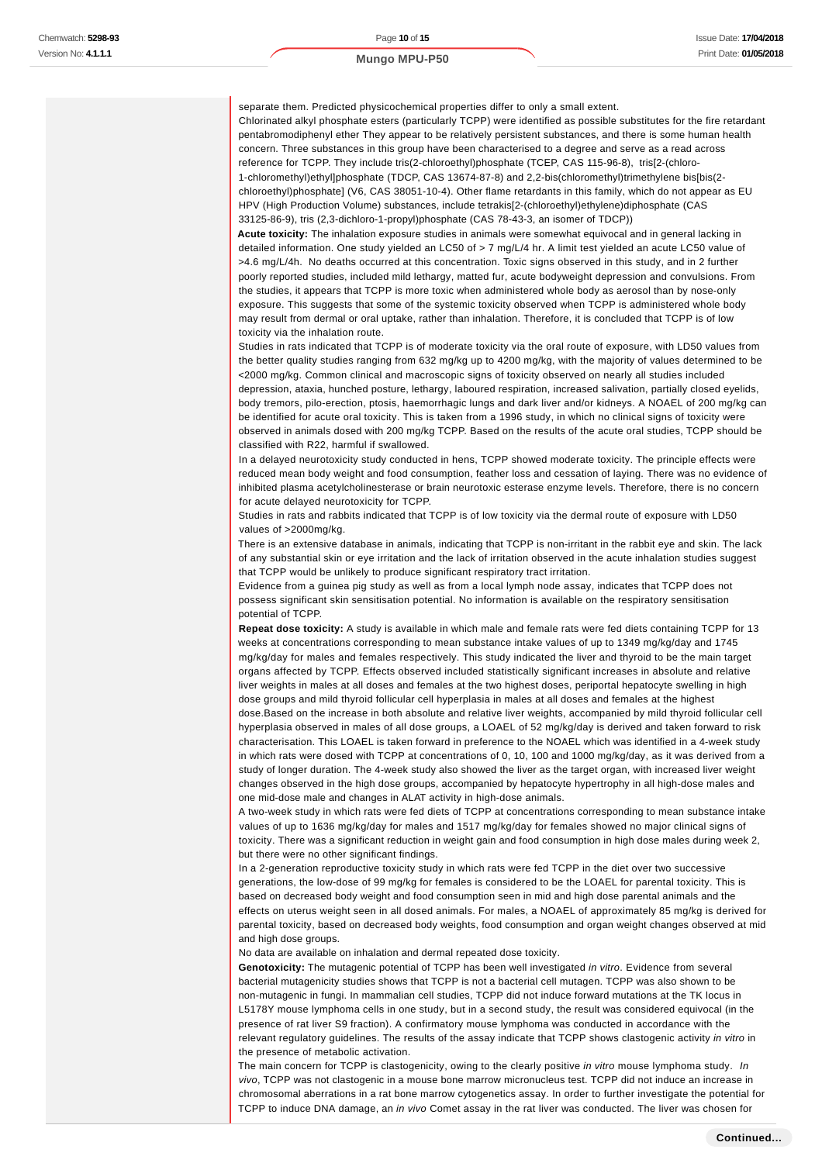separate them. Predicted physicochemical properties differ to only a small extent. Chlorinated alkyl phosphate esters (particularly TCPP) were identified as possible substitutes for the fire retardant pentabromodiphenyl ether They appear to be relatively persistent substances, and there is some human health concern. Three substances in this group have been characterised to a degree and serve as a read across reference for TCPP. They include tris(2-chloroethyl)phosphate (TCEP, CAS 115-96-8), tris[2-(chloro-1-chloromethyl)ethyl]phosphate (TDCP, CAS 13674-87-8) and 2,2-bis(chloromethyl)trimethylene bis[bis(2 chloroethyl)phosphate] (V6, CAS 38051-10-4). Other flame retardants in this family, which do not appear as EU HPV (High Production Volume) substances, include tetrakis[2-(chloroethyl)ethylene)diphosphate (CAS 33125-86-9), tris (2,3-dichloro-1-propyl)phosphate (CAS 78-43-3, an isomer of TDCP))

**Acute toxicity:** The inhalation exposure studies in animals were somewhat equivocal and in general lacking in detailed information. One study yielded an LC50 of > 7 mg/L/4 hr. A limit test yielded an acute LC50 value of >4.6 mg/L/4h. No deaths occurred at this concentration. Toxic signs observed in this study, and in 2 further poorly reported studies, included mild lethargy, matted fur, acute bodyweight depression and convulsions. From the studies, it appears that TCPP is more toxic when administered whole body as aerosol than by nose-only exposure. This suggests that some of the systemic toxicity observed when TCPP is administered whole body may result from dermal or oral uptake, rather than inhalation. Therefore, it is concluded that TCPP is of low toxicity via the inhalation route.

Studies in rats indicated that TCPP is of moderate toxicity via the oral route of exposure, with LD50 values from the better quality studies ranging from 632 mg/kg up to 4200 mg/kg, with the majority of values determined to be <2000 mg/kg. Common clinical and macroscopic signs of toxicity observed on nearly all studies included depression, ataxia, hunched posture, lethargy, laboured respiration, increased salivation, partially closed eyelids, body tremors, pilo-erection, ptosis, haemorrhagic lungs and dark liver and/or kidneys. A NOAEL of 200 mg/kg can be identified for acute oral toxicity. This is taken from a 1996 study, in which no clinical signs of toxicity were observed in animals dosed with 200 mg/kg TCPP. Based on the results of the acute oral studies, TCPP should be classified with R22, harmful if swallowed.

In a delayed neurotoxicity study conducted in hens, TCPP showed moderate toxicity. The principle effects were reduced mean body weight and food consumption, feather loss and cessation of laying. There was no evidence of inhibited plasma acetylcholinesterase or brain neurotoxic esterase enzyme levels. Therefore, there is no concern for acute delayed neurotoxicity for TCPP.

Studies in rats and rabbits indicated that TCPP is of low toxicity via the dermal route of exposure with LD50 values of >2000mg/kg.

There is an extensive database in animals, indicating that TCPP is non-irritant in the rabbit eye and skin. The lack of any substantial skin or eye irritation and the lack of irritation observed in the acute inhalation studies suggest that TCPP would be unlikely to produce significant respiratory tract irritation.

Evidence from a guinea pig study as well as from a local lymph node assay, indicates that TCPP does not possess significant skin sensitisation potential. No information is available on the respiratory sensitisation potential of TCPP.

**Repeat dose toxicity:** A study is available in which male and female rats were fed diets containing TCPP for 13 weeks at concentrations corresponding to mean substance intake values of up to 1349 mg/kg/day and 1745 mg/kg/day for males and females respectively. This study indicated the liver and thyroid to be the main target organs affected by TCPP. Effects observed included statistically significant increases in absolute and relative liver weights in males at all doses and females at the two highest doses, periportal hepatocyte swelling in high dose groups and mild thyroid follicular cell hyperplasia in males at all doses and females at the highest

dose.Based on the increase in both absolute and relative liver weights, accompanied by mild thyroid follicular cell hyperplasia observed in males of all dose groups, a LOAEL of 52 mg/kg/day is derived and taken forward to risk characterisation. This LOAEL is taken forward in preference to the NOAEL which was identified in a 4-week study in which rats were dosed with TCPP at concentrations of 0, 10, 100 and 1000 mg/kg/day, as it was derived from a study of longer duration. The 4-week study also showed the liver as the target organ, with increased liver weight changes observed in the high dose groups, accompanied by hepatocyte hypertrophy in all high-dose males and one mid-dose male and changes in ALAT activity in high-dose animals.

A two-week study in which rats were fed diets of TCPP at concentrations corresponding to mean substance intake values of up to 1636 mg/kg/day for males and 1517 mg/kg/day for females showed no major clinical signs of toxicity. There was a significant reduction in weight gain and food consumption in high dose males during week 2, but there were no other significant findings.

In a 2-generation reproductive toxicity study in which rats were fed TCPP in the diet over two successive generations, the low-dose of 99 mg/kg for females is considered to be the LOAEL for parental toxicity. This is based on decreased body weight and food consumption seen in mid and high dose parental animals and the effects on uterus weight seen in all dosed animals. For males, a NOAEL of approximately 85 mg/kg is derived for parental toxicity, based on decreased body weights, food consumption and organ weight changes observed at mid and high dose groups.

No data are available on inhalation and dermal repeated dose toxicity.

**Genotoxicity:** The mutagenic potential of TCPP has been well investigated in vitro. Evidence from several bacterial mutagenicity studies shows that TCPP is not a bacterial cell mutagen. TCPP was also shown to be non-mutagenic in fungi. In mammalian cell studies, TCPP did not induce forward mutations at the TK locus in L5178Y mouse lymphoma cells in one study, but in a second study, the result was considered equivocal (in the presence of rat liver S9 fraction). A confirmatory mouse lymphoma was conducted in accordance with the relevant regulatory guidelines. The results of the assay indicate that TCPP shows clastogenic activity in vitro in the presence of metabolic activation.

The main concern for TCPP is clastogenicity, owing to the clearly positive in vitro mouse lymphoma study. In vivo, TCPP was not clastogenic in a mouse bone marrow micronucleus test. TCPP did not induce an increase in chromosomal aberrations in a rat bone marrow cytogenetics assay. In order to further investigate the potential for TCPP to induce DNA damage, an in vivo Comet assay in the rat liver was conducted. The liver was chosen for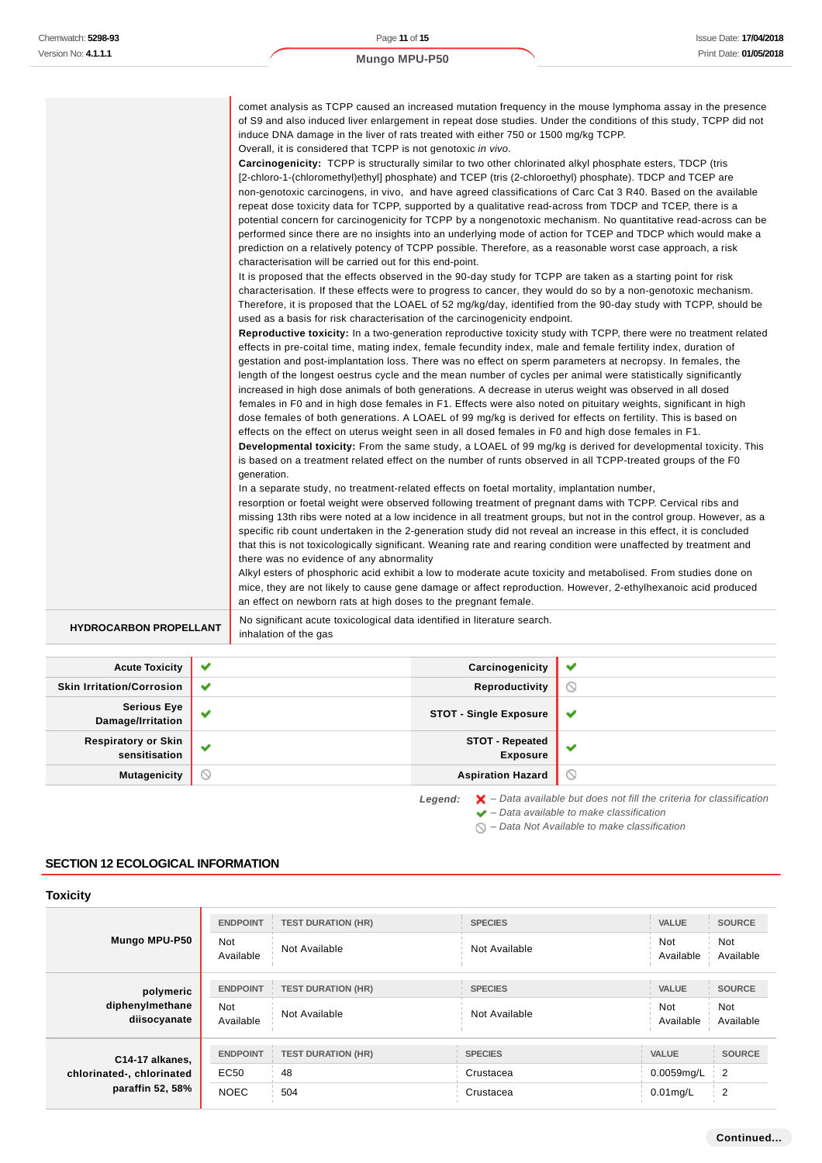| <b>HYDROCARBON PROPELLANT</b> | increased in high dose animals of both generations. A decrease in uterus weight was observed in all dosed<br>females in F0 and in high dose females in F1. Effects were also noted on pituitary weights, significant in high<br>dose females of both generations. A LOAEL of 99 mg/kg is derived for effects on fertility. This is based on<br>effects on the effect on uterus weight seen in all dosed females in F0 and high dose females in F1.<br>Developmental toxicity: From the same study, a LOAEL of 99 mg/kg is derived for developmental toxicity. This<br>is based on a treatment related effect on the number of runts observed in all TCPP-treated groups of the F0<br>generation.<br>In a separate study, no treatment-related effects on foetal mortality, implantation number,<br>resorption or foetal weight were observed following treatment of pregnant dams with TCPP. Cervical ribs and<br>missing 13th ribs were noted at a low incidence in all treatment groups, but not in the control group. However, as a<br>specific rib count undertaken in the 2-generation study did not reveal an increase in this effect, it is concluded<br>that this is not toxicologically significant. Weaning rate and rearing condition were unaffected by treatment and<br>there was no evidence of any abnormality<br>Alkyl esters of phosphoric acid exhibit a low to moderate acute toxicity and metabolised. From studies done on<br>mice, they are not likely to cause gene damage or affect reproduction. However, 2-ethylhexanoic acid produced<br>an effect on newborn rats at high doses to the pregnant female.<br>No significant acute toxicological data identified in literature search.                                                                                                                                                                                                                                                                                                                                                                                                                                                   |  |
|-------------------------------|-------------------------------------------------------------------------------------------------------------------------------------------------------------------------------------------------------------------------------------------------------------------------------------------------------------------------------------------------------------------------------------------------------------------------------------------------------------------------------------------------------------------------------------------------------------------------------------------------------------------------------------------------------------------------------------------------------------------------------------------------------------------------------------------------------------------------------------------------------------------------------------------------------------------------------------------------------------------------------------------------------------------------------------------------------------------------------------------------------------------------------------------------------------------------------------------------------------------------------------------------------------------------------------------------------------------------------------------------------------------------------------------------------------------------------------------------------------------------------------------------------------------------------------------------------------------------------------------------------------------------------------------------------------------------------------------------------------------------------------------------------------------------------------------------------------------------------------------------------------------------------------------------------------------------------------------------------------------------------------------------------------------------------------------------------------------------------------------------------------------------------------------------------------------|--|
|                               | comet analysis as TCPP caused an increased mutation frequency in the mouse lymphoma assay in the presence<br>of S9 and also induced liver enlargement in repeat dose studies. Under the conditions of this study, TCPP did not<br>induce DNA damage in the liver of rats treated with either 750 or 1500 mg/kg TCPP.<br>Overall, it is considered that TCPP is not genotoxic in vivo.<br>Carcinogenicity: TCPP is structurally similar to two other chlorinated alkyl phosphate esters, TDCP (tris<br>[2-chloro-1-(chloromethyl)ethyl] phosphate) and TCEP (tris (2-chloroethyl) phosphate). TDCP and TCEP are<br>non-genotoxic carcinogens, in vivo, and have agreed classifications of Carc Cat 3 R40. Based on the available<br>repeat dose toxicity data for TCPP, supported by a qualitative read-across from TDCP and TCEP, there is a<br>potential concern for carcinogenicity for TCPP by a nongenotoxic mechanism. No quantitative read-across can be<br>performed since there are no insights into an underlying mode of action for TCEP and TDCP which would make a<br>prediction on a relatively potency of TCPP possible. Therefore, as a reasonable worst case approach, a risk<br>characterisation will be carried out for this end-point.<br>It is proposed that the effects observed in the 90-day study for TCPP are taken as a starting point for risk<br>characterisation. If these effects were to progress to cancer, they would do so by a non-genotoxic mechanism.<br>Therefore, it is proposed that the LOAEL of 52 mg/kg/day, identified from the 90-day study with TCPP, should be<br>used as a basis for risk characterisation of the carcinogenicity endpoint.<br>Reproductive toxicity: In a two-generation reproductive toxicity study with TCPP, there were no treatment related<br>effects in pre-coital time, mating index, female fecundity index, male and female fertility index, duration of<br>gestation and post-implantation loss. There was no effect on sperm parameters at necropsy. In females, the<br>length of the longest oestrus cycle and the mean number of cycles per animal were statistically significantly |  |

| <b>Acute Toxicity</b>                   | $\checkmark$ | Carcinogenicity                           | w            |
|-----------------------------------------|--------------|-------------------------------------------|--------------|
| <b>Skin Irritation/Corrosion</b>        | $\checkmark$ | Reproductivity                            | $\circ$      |
| <b>Serious Eye</b><br>Damage/Irritation | a.           | <b>STOT - Single Exposure</b>             | $\checkmark$ |
| Respiratory or Skin<br>sensitisation    | $\checkmark$ | <b>STOT - Repeated</b><br><b>Exposure</b> | w            |
| <b>Mutagenicity</b>                     | ∾            | <b>Aspiration Hazard</b>                  | $\circ$      |
|                                         |              |                                           |              |

Legend:  $\mathbf{X}$  – Data available but does not fill the criteria for classification – Data available to make classification

 $\bigcirc$  – Data Not Available to make classification

## **SECTION 12 ECOLOGICAL INFORMATION**

| <b>Toxicity</b>                                                  |                         |                           |                |                         |                         |
|------------------------------------------------------------------|-------------------------|---------------------------|----------------|-------------------------|-------------------------|
|                                                                  | <b>ENDPOINT</b>         | <b>TEST DURATION (HR)</b> | <b>SPECIES</b> | <b>VALUE</b>            | <b>SOURCE</b>           |
| Mungo MPU-P50                                                    | <b>Not</b><br>Available | Not Available             | Not Available  | <b>Not</b><br>Available | Not<br>Available        |
| polymeric<br>diphenylmethane<br>diisocyanate                     | <b>ENDPOINT</b>         | <b>TEST DURATION (HR)</b> | <b>SPECIES</b> | <b>VALUE</b>            | <b>SOURCE</b>           |
|                                                                  | <b>Not</b><br>Available | Not Available             | Not Available  | <b>Not</b><br>Available | <b>Not</b><br>Available |
| C14-17 alkanes,<br>chlorinated-, chlorinated<br>paraffin 52, 58% | <b>ENDPOINT</b>         | <b>TEST DURATION (HR)</b> | <b>SPECIES</b> | <b>VALUE</b>            | <b>SOURCE</b>           |
|                                                                  | EC50                    | 48                        | Crustacea      | 0.0059mg/L              | 2                       |
|                                                                  | <b>NOEC</b>             | 504                       | Crustacea      | $0.01$ mg/L             | $\overline{2}$          |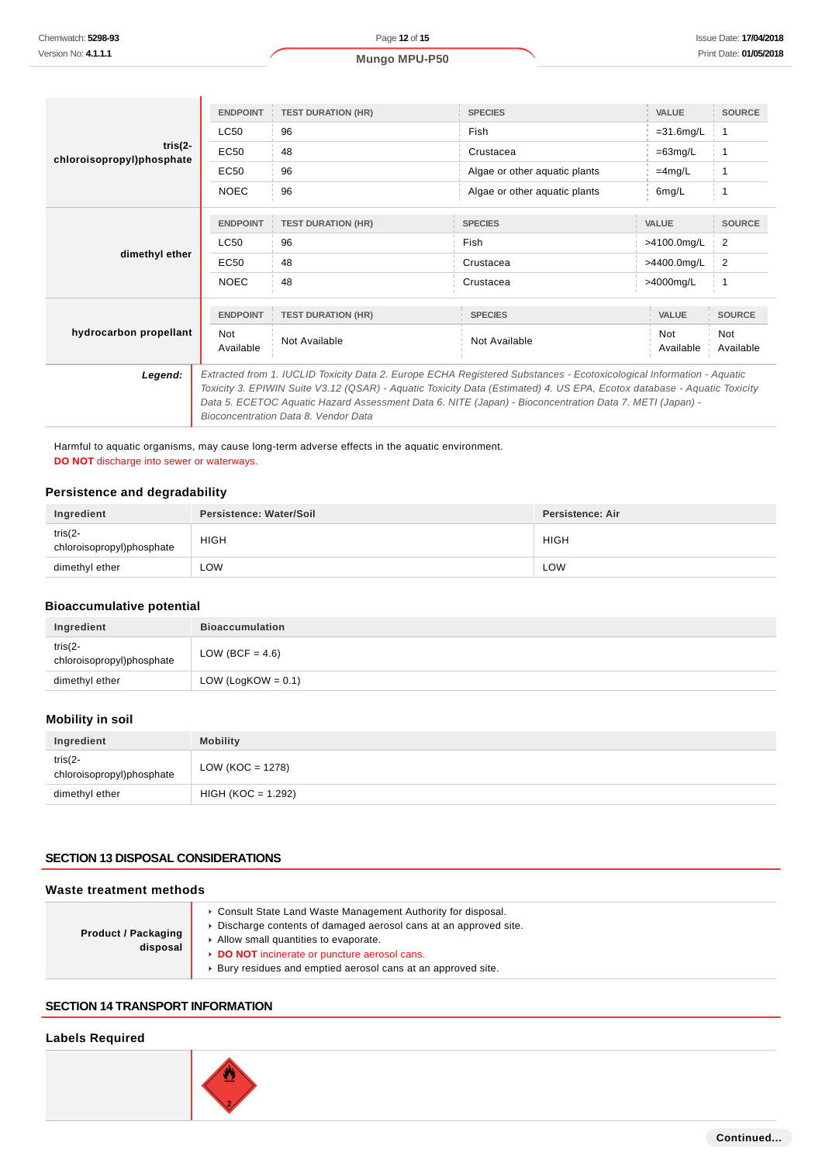|                                        | <b>ENDPOINT</b>                                                                                                         | <b>TEST DURATION (HR)</b> | <b>SPECIES</b>                | <b>VALUE</b> | <b>SOURCE</b> |
|----------------------------------------|-------------------------------------------------------------------------------------------------------------------------|---------------------------|-------------------------------|--------------|---------------|
|                                        | <b>LC50</b>                                                                                                             | 96                        | <b>Fish</b>                   | $=31.6$ mg/L | 1             |
| $tris(2-$<br>chloroisopropyl)phosphate | EC50                                                                                                                    | 48                        | Crustacea                     | $=63mg/L$    | $\mathbf{1}$  |
|                                        | <b>EC50</b>                                                                                                             | 96                        | Algae or other aquatic plants | $=4$ mg/L    |               |
|                                        | <b>NOEC</b>                                                                                                             | 96                        | Algae or other aquatic plants | 6mg/L        |               |
|                                        |                                                                                                                         |                           |                               |              |               |
|                                        | <b>ENDPOINT</b>                                                                                                         | <b>TEST DURATION (HR)</b> | <b>SPECIES</b>                | VALUE        | <b>SOURCE</b> |
| dimethyl ether                         | <b>LC50</b>                                                                                                             | 96                        | <b>Fish</b>                   | >4100.0mg/L  | 2             |
|                                        | EC50                                                                                                                    | 48                        | Crustacea                     | >4400.0mg/L  | 2             |
|                                        | <b>NOEC</b>                                                                                                             | 48                        | Crustacea                     | >4000mg/L    |               |
|                                        |                                                                                                                         |                           |                               |              |               |
|                                        | <b>ENDPOINT</b>                                                                                                         | <b>TEST DURATION (HR)</b> | <b>SPECIES</b>                | VALUE        | <b>SOURCE</b> |
| hydrocarbon propellant                 | Not                                                                                                                     |                           |                               | Not          | Not           |
|                                        | Available                                                                                                               | Not Available             | Not Available                 | Available    | Available     |
| Legend:                                | Extracted from 1. IUCLID Toxicity Data 2. Europe ECHA Registered Substances - Ecotoxicological Information - Aquatic    |                           |                               |              |               |
|                                        | Toxicity 3. EPIWIN Suite V3.12 (QSAR) - Aquatic Toxicity Data (Estimated) 4. US EPA, Ecotox database - Aquatic Toxicity |                           |                               |              |               |
|                                        | - Data 5. ECETOC Aquatic Hazard Assessment Data 6. NITE (Japan) - Bioconcentration Data 7. METI (Japan)                 |                           |                               |              |               |
|                                        | Bioconcentration Data 8. Vendor Data                                                                                    |                           |                               |              |               |
|                                        |                                                                                                                         |                           |                               |              |               |

Harmful to aquatic organisms, may cause long-term adverse effects in the aquatic environment. **DO NOT** discharge into sewer or waterways.

### **Persistence and degradability**

| Ingredient                               | Persistence: Water/Soil | Persistence: Air |
|------------------------------------------|-------------------------|------------------|
| tris $(2 -$<br>chloroisopropyl)phosphate | <b>HIGH</b>             | <b>HIGH</b>      |
| dimethyl ether                           | LOW                     | LOW              |

## **Bioaccumulative potential**

| Ingredient                               | <b>Bioaccumulation</b> |
|------------------------------------------|------------------------|
| tris $(2 -$<br>chloroisopropyl)phosphate | LOW (BCF = $4.6$ )     |
| dimethyl ether                           | LOW (LogKOW = $0.1$ )  |

## **Mobility in soil**

| Ingredient                               | <b>Mobility</b>      |
|------------------------------------------|----------------------|
| tris $(2 -$<br>chloroisopropyl)phosphate | LOW (KOC = 1278)     |
| dimethyl ether                           | $HIGH (KOC = 1.292)$ |

### **SECTION 13 DISPOSAL CONSIDERATIONS**

#### **Waste treatment methods**

| <b>Product / Packaging</b><br>disposal | • Consult State Land Waste Management Authority for disposal.<br>Discharge contents of damaged aerosol cans at an approved site.<br>Allow small quantities to evaporate.<br>DO NOT incinerate or puncture aerosol cans.<br>Bury residues and emptied aerosol cans at an approved site. |
|----------------------------------------|----------------------------------------------------------------------------------------------------------------------------------------------------------------------------------------------------------------------------------------------------------------------------------------|
|----------------------------------------|----------------------------------------------------------------------------------------------------------------------------------------------------------------------------------------------------------------------------------------------------------------------------------------|

### **SECTION 14 TRANSPORT INFORMATION**

#### **Labels Required**

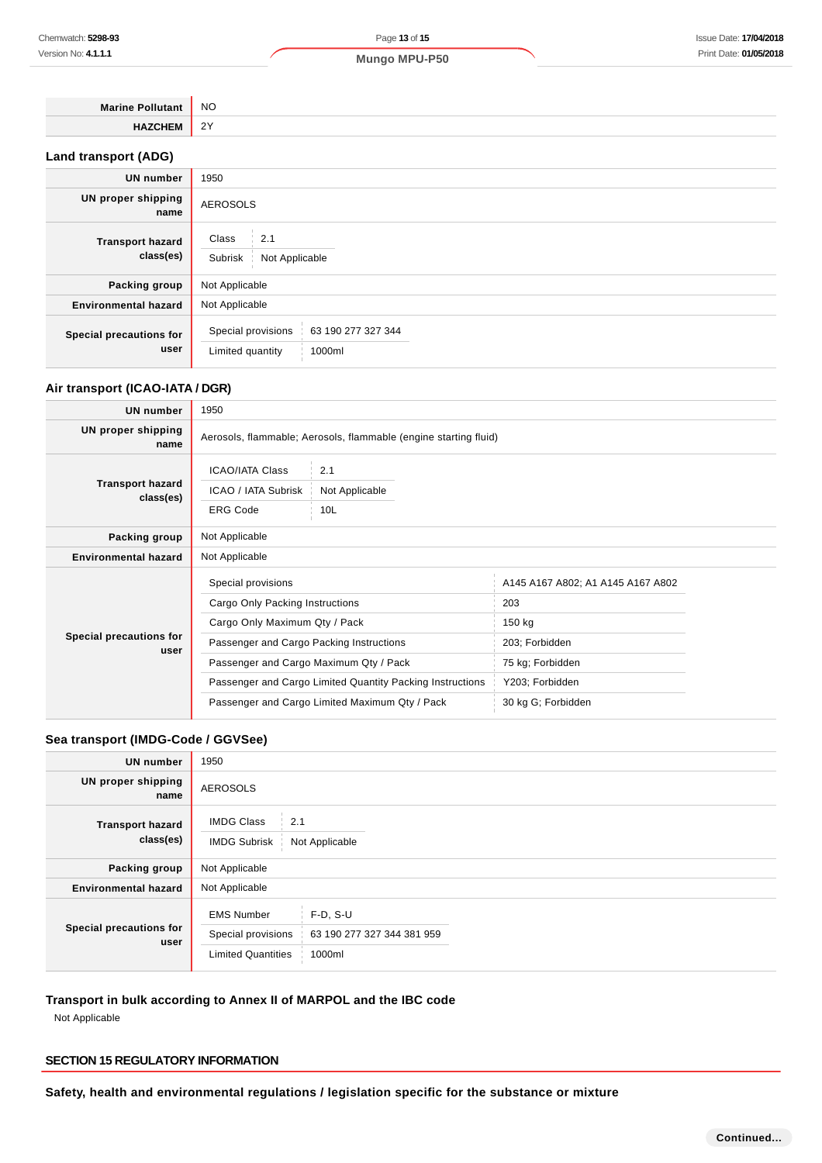| <b>Marine Pollutant</b>     | <b>NO</b> |
|-----------------------------|-----------|
| <b>HAZCHEM</b>              | 2Y        |
| <b>Land transport (ADG)</b> |           |

| <b>UN number</b>                     | 1950                                                                   |  |
|--------------------------------------|------------------------------------------------------------------------|--|
| UN proper shipping<br>name           | <b>AEROSOLS</b>                                                        |  |
| <b>Transport hazard</b><br>class(es) | Class<br>2.1<br>Subrisk<br>Not Applicable                              |  |
| Packing group                        | Not Applicable                                                         |  |
| <b>Environmental hazard</b>          | Not Applicable                                                         |  |
| Special precautions for<br>user      | Special provisions<br>63 190 277 327 344<br>Limited quantity<br>1000ml |  |

### **Air transport (ICAO-IATA / DGR)**

| <b>UN number</b>                     | 1950                                                             |                       |                                   |  |
|--------------------------------------|------------------------------------------------------------------|-----------------------|-----------------------------------|--|
| UN proper shipping<br>name           | Aerosols, flammable; Aerosols, flammable (engine starting fluid) |                       |                                   |  |
| <b>Transport hazard</b><br>class(es) | <b>ICAO/IATA Class</b><br>ICAO / IATA Subrisk                    | 2.1<br>Not Applicable |                                   |  |
|                                      | <b>ERG Code</b><br>10L                                           |                       |                                   |  |
| Packing group                        | Not Applicable                                                   |                       |                                   |  |
| <b>Environmental hazard</b>          | Not Applicable                                                   |                       |                                   |  |
| Special precautions for<br>user      | Special provisions                                               |                       | A145 A167 A802; A1 A145 A167 A802 |  |
|                                      | Cargo Only Packing Instructions                                  |                       | 203                               |  |
|                                      | Cargo Only Maximum Qty / Pack                                    |                       | 150 kg                            |  |
|                                      | Passenger and Cargo Packing Instructions                         |                       | 203; Forbidden                    |  |
|                                      | Passenger and Cargo Maximum Qty / Pack                           |                       | 75 kg; Forbidden                  |  |
|                                      | Passenger and Cargo Limited Quantity Packing Instructions        |                       | Y203; Forbidden                   |  |
|                                      | Passenger and Cargo Limited Maximum Qty / Pack                   |                       | 30 kg G; Forbidden                |  |

### **Sea transport (IMDG-Code / GGVSee)**

| <b>UN</b> number                     | 1950                                                                                                                       |
|--------------------------------------|----------------------------------------------------------------------------------------------------------------------------|
| UN proper shipping<br>name           | <b>AEROSOLS</b>                                                                                                            |
| <b>Transport hazard</b><br>class(es) | <b>IMDG Class</b><br>2.1<br><b>IMDG Subrisk</b><br>Not Applicable                                                          |
| Packing group                        | Not Applicable                                                                                                             |
| <b>Environmental hazard</b>          | Not Applicable                                                                                                             |
| Special precautions for<br>user      | <b>EMS Number</b><br>$F-D, S-U$<br>Special provisions<br>63 190 277 327 344 381 959<br><b>Limited Quantities</b><br>1000ml |

## **Transport in bulk according to Annex II of MARPOL and the IBC code**

Not Applicable

### **SECTION 15 REGULATORY INFORMATION**

**Safety, health and environmental regulations / legislation specific for the substance or mixture**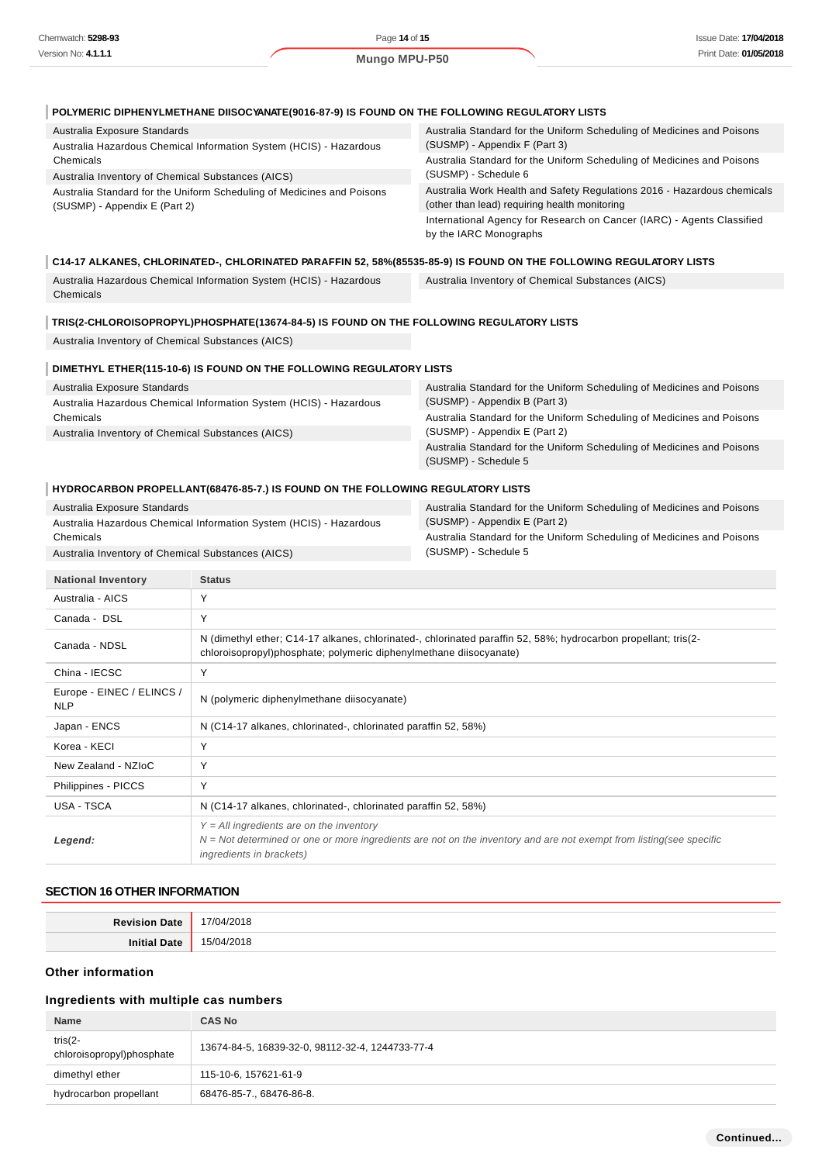| POLYMERIC DIPHENYLMETHANE DIISOCYANATE(9016-87-9) IS FOUND ON THE FOLLOWING REGULATORY LISTS                                                 |                                                                                                                          |  |
|----------------------------------------------------------------------------------------------------------------------------------------------|--------------------------------------------------------------------------------------------------------------------------|--|
| Australia Exposure Standards<br>Australia Hazardous Chemical Information System (HCIS) - Hazardous                                           | Australia Standard for the Uniform Scheduling of Medicines and Poisons<br>(SUSMP) - Appendix F (Part 3)                  |  |
| Chemicals                                                                                                                                    | Australia Standard for the Uniform Scheduling of Medicines and Poisons                                                   |  |
| Australia Inventory of Chemical Substances (AICS)                                                                                            | (SUSMP) - Schedule 6                                                                                                     |  |
| Australia Standard for the Uniform Scheduling of Medicines and Poisons<br>(SUSMP) - Appendix E (Part 2)                                      | Australia Work Health and Safety Regulations 2016 - Hazardous chemicals<br>(other than lead) requiring health monitoring |  |
|                                                                                                                                              | International Agency for Research on Cancer (IARC) - Agents Classified<br>by the IARC Monographs                         |  |
| C14-17 ALKANES, CHLORINATED-, CHLORINATED PARAFFIN 52, 58%(85535-85-9) IS FOUND ON THE FOLLOWING REGULATORY LISTS                            |                                                                                                                          |  |
| Australia Hazardous Chemical Information System (HCIS) - Hazardous<br>Chemicals                                                              | Australia Inventory of Chemical Substances (AICS)                                                                        |  |
| TRIS(2-CHLOROISOPROPYL)PHOSPHATE(13674-84-5) IS FOUND ON THE FOLLOWING REGULATORY LISTS<br>Australia Inventory of Chemical Substances (AICS) |                                                                                                                          |  |
| DIMETHYL ETHER(115-10-6) IS FOUND ON THE FOLLOWING REGULATORY LISTS                                                                          |                                                                                                                          |  |
| Australia Exposure Standards                                                                                                                 | Australia Standard for the Uniform Scheduling of Medicines and Poisons<br>(SUSMP) - Appendix B (Part 3)                  |  |
| Australia Hazardous Chemical Information System (HCIS) - Hazardous<br>Chemicals                                                              | Australia Standard for the Uniform Scheduling of Medicines and Poisons                                                   |  |
| Australia Inventory of Chemical Substances (AICS)                                                                                            | (SUSMP) - Appendix E (Part 2)                                                                                            |  |
|                                                                                                                                              | Australia Standard for the Uniform Scheduling of Medicines and Poisons<br>(SUSMP) - Schedule 5                           |  |
| HYDROCARBON PROPELLANT(68476-85-7.) IS FOUND ON THE FOLLOWING REGULATORY LISTS                                                               |                                                                                                                          |  |
| Australia Exposure Standards                                                                                                                 | Australia Standard for the Uniform Scheduling of Medicines and Poisons                                                   |  |

| Australia Hazardous Chemical Information System (HCIS) - Hazardous | (SUSMP) - Appendix E (Part 2)                                          |
|--------------------------------------------------------------------|------------------------------------------------------------------------|
| Chemicals                                                          | Australia Standard for the Uniform Scheduling of Medicines and Poisons |
| Australia Inventory of Chemical Substances (AICS)                  | (SUSMP) - Schedule 5                                                   |

| <b>National Inventory</b>               | <b>Status</b>                                                                                                                                                                                   |
|-----------------------------------------|-------------------------------------------------------------------------------------------------------------------------------------------------------------------------------------------------|
| Australia - AICS                        | Y                                                                                                                                                                                               |
| Canada - DSL                            | Υ                                                                                                                                                                                               |
| Canada - NDSL                           | N (dimethyl ether; C14-17 alkanes, chlorinated-, chlorinated paraffin 52, 58%; hydrocarbon propellant; tris(2-<br>chloroisopropyl)phosphate; polymeric diphenylmethane diisocyanate)            |
| China - IECSC                           | Y                                                                                                                                                                                               |
| Europe - EINEC / ELINCS /<br><b>NLP</b> | N (polymeric diphenylmethane diisocyanate)                                                                                                                                                      |
| Japan - ENCS                            | N (C14-17 alkanes, chlorinated-, chlorinated paraffin 52, 58%)                                                                                                                                  |
| Korea - KECI                            | Υ                                                                                                                                                                                               |
| New Zealand - NZIoC                     | Υ                                                                                                                                                                                               |
| Philippines - PICCS                     | Y                                                                                                                                                                                               |
| USA - TSCA                              | N (C14-17 alkanes, chlorinated-, chlorinated paraffin 52, 58%)                                                                                                                                  |
| Legend:                                 | $Y = All$ ingredients are on the inventory<br>$N = Not$ determined or one or more ingredients are not on the inventory and are not exempt from listing(see specific<br>ingredients in brackets) |

#### **SECTION 16 OTHER INFORMATION**

| <b>Revision Date</b> | 17/04/2018              |
|----------------------|-------------------------|
| <b>Initial Date</b>  | 1/2018<br>704/<br><br>. |

### **Other information**

## **Ingredients with multiple cas numbers**

| <b>Name</b>                              | <b>CAS No</b>                                    |
|------------------------------------------|--------------------------------------------------|
| tris $(2 -$<br>chloroisopropyl)phosphate | 13674-84-5, 16839-32-0, 98112-32-4, 1244733-77-4 |
| dimethyl ether                           | 115-10-6, 157621-61-9                            |
| hydrocarbon propellant                   | 68476-85-7., 68476-86-8.                         |